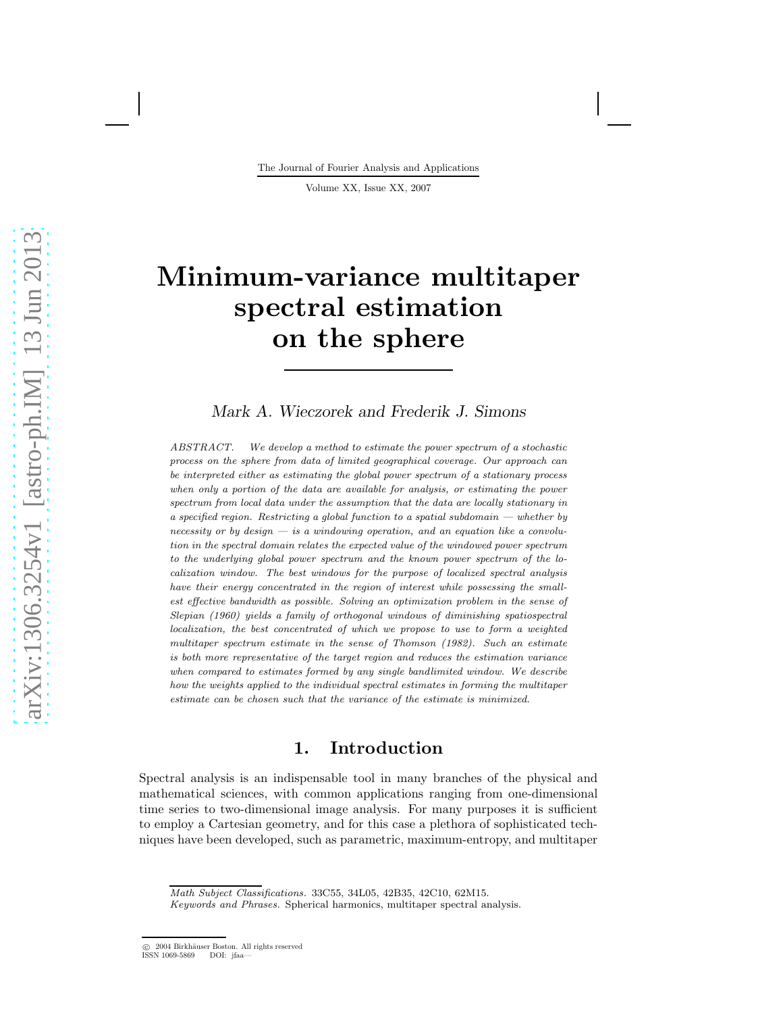The Journal of Fourier Analysis and Applications

Volume XX, Issue XX, 2007

# Minimum-variance multitaper spectral estimation on the sphere

Mark A. Wieczorek and Frederik J. Simons

ABSTRACT. We develop a method to estimate the power spectrum of a stochastic process on the sphere from data of limited geographical coverage. Our approach can be interpreted either as estimating the global power spectrum of a stationary process when only a portion of the data are available for analysis, or estimating the power spectrum from local data under the assumption that the data are locally stationary in a specified region. Restricting a global function to a spatial subdomain  $-$  whether by necessity or by design  $-$  is a windowing operation, and an equation like a convolution in the spectral domain relates the expected value of the windowed power spectrum to the underlying global power spectrum and the known power spectrum of the localization window. The best windows for the purpose of localized spectral analysis have their energy concentrated in the region of interest while possessing the smallest effective bandwidth as possible. Solving an optimization problem in the sense of Slepian (1960) yields a family of orthogonal windows of diminishing spatiospectral localization, the best concentrated of which we propose to use to form a weighted multitaper spectrum estimate in the sense of Thomson (1982). Such an estimate is both more representative of the target region and reduces the estimation variance when compared to estimates formed by any single bandlimited window. We describe how the weights applied to the individual spectral estimates in forming the multitaper estimate can be chosen such that the variance of the estimate is minimized.

## 1. Introduction

Spectral analysis is an indispensable tool in many branches of the physical and mathematical sciences, with common applications ranging from one-dimensional time series to two-dimensional image analysis. For many purposes it is sufficient to employ a Cartesian geometry, and for this case a plethora of sophisticated techniques have been developed, such as parametric, maximum-entropy, and multitaper

Math Subject Classifications. 33C55, 34L05, 42B35, 42C10, 62M15.

Keywords and Phrases. Spherical harmonics, multitaper spectral analysis.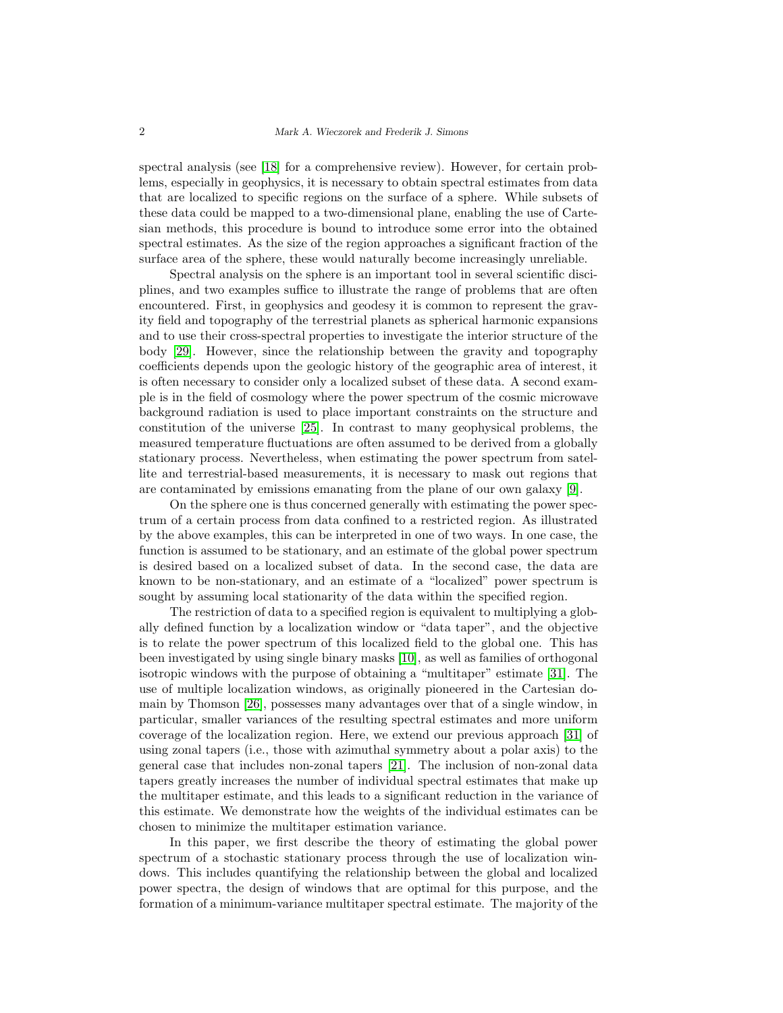spectral analysis (see [\[18\]](#page-28-0) for a comprehensive review). However, for certain problems, especially in geophysics, it is necessary to obtain spectral estimates from data that are localized to specific regions on the surface of a sphere. While subsets of these data could be mapped to a two-dimensional plane, enabling the use of Cartesian methods, this procedure is bound to introduce some error into the obtained spectral estimates. As the size of the region approaches a significant fraction of the surface area of the sphere, these would naturally become increasingly unreliable.

Spectral analysis on the sphere is an important tool in several scientific disciplines, and two examples suffice to illustrate the range of problems that are often encountered. First, in geophysics and geodesy it is common to represent the gravity field and topography of the terrestrial planets as spherical harmonic expansions and to use their cross-spectral properties to investigate the interior structure of the body [\[29\]](#page-28-1). However, since the relationship between the gravity and topography coefficients depends upon the geologic history of the geographic area of interest, it is often necessary to consider only a localized subset of these data. A second example is in the field of cosmology where the power spectrum of the cosmic microwave background radiation is used to place important constraints on the structure and constitution of the universe [\[25\]](#page-28-2). In contrast to many geophysical problems, the measured temperature fluctuations are often assumed to be derived from a globally stationary process. Nevertheless, when estimating the power spectrum from satellite and terrestrial-based measurements, it is necessary to mask out regions that are contaminated by emissions emanating from the plane of our own galaxy [\[9\]](#page-27-0).

On the sphere one is thus concerned generally with estimating the power spectrum of a certain process from data confined to a restricted region. As illustrated by the above examples, this can be interpreted in one of two ways. In one case, the function is assumed to be stationary, and an estimate of the global power spectrum is desired based on a localized subset of data. In the second case, the data are known to be non-stationary, and an estimate of a "localized" power spectrum is sought by assuming local stationarity of the data within the specified region.

The restriction of data to a specified region is equivalent to multiplying a globally defined function by a localization window or "data taper", and the objective is to relate the power spectrum of this localized field to the global one. This has been investigated by using single binary masks [\[10\]](#page-27-1), as well as families of orthogonal isotropic windows with the purpose of obtaining a "multitaper" estimate [\[31\]](#page-28-3). The use of multiple localization windows, as originally pioneered in the Cartesian domain by Thomson [\[26\]](#page-28-4), possesses many advantages over that of a single window, in particular, smaller variances of the resulting spectral estimates and more uniform coverage of the localization region. Here, we extend our previous approach [\[31\]](#page-28-3) of using zonal tapers (i.e., those with azimuthal symmetry about a polar axis) to the general case that includes non-zonal tapers [\[21\]](#page-28-5). The inclusion of non-zonal data tapers greatly increases the number of individual spectral estimates that make up the multitaper estimate, and this leads to a significant reduction in the variance of this estimate. We demonstrate how the weights of the individual estimates can be chosen to minimize the multitaper estimation variance.

In this paper, we first describe the theory of estimating the global power spectrum of a stochastic stationary process through the use of localization windows. This includes quantifying the relationship between the global and localized power spectra, the design of windows that are optimal for this purpose, and the formation of a minimum-variance multitaper spectral estimate. The majority of the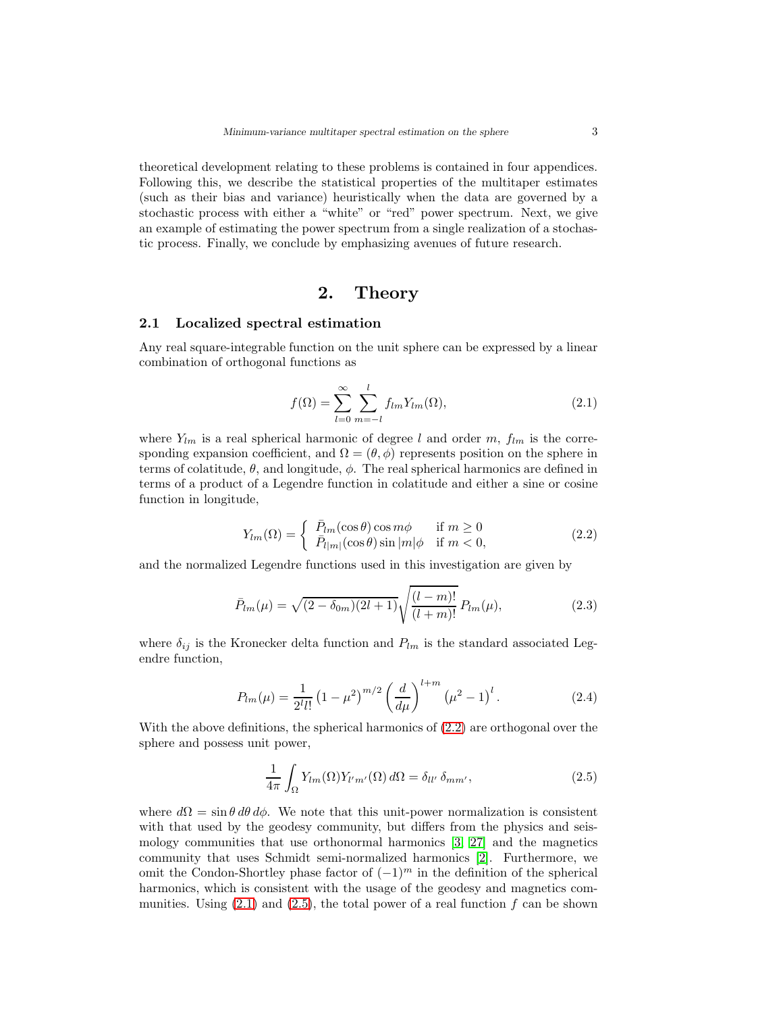theoretical development relating to these problems is contained in four appendices. Following this, we describe the statistical properties of the multitaper estimates (such as their bias and variance) heuristically when the data are governed by a stochastic process with either a "white" or "red" power spectrum. Next, we give an example of estimating the power spectrum from a single realization of a stochastic process. Finally, we conclude by emphasizing avenues of future research.

#### 2. Theory

#### 2.1 Localized spectral estimation

Any real square-integrable function on the unit sphere can be expressed by a linear combination of orthogonal functions as

<span id="page-2-1"></span>
$$
f(\Omega) = \sum_{l=0}^{\infty} \sum_{m=-l}^{l} f_{lm} Y_{lm}(\Omega),
$$
\n(2.1)

where  $Y_{lm}$  is a real spherical harmonic of degree l and order m,  $f_{lm}$  is the corresponding expansion coefficient, and  $\Omega = (\theta, \phi)$  represents position on the sphere in terms of colatitude,  $\theta$ , and longitude,  $\phi$ . The real spherical harmonics are defined in terms of a product of a Legendre function in colatitude and either a sine or cosine function in longitude,

<span id="page-2-0"></span>
$$
Y_{lm}(\Omega) = \begin{cases} \bar{P}_{lm}(\cos \theta) \cos m\phi & \text{if } m \ge 0\\ \bar{P}_{l|m|}(\cos \theta) \sin |m|\phi & \text{if } m < 0, \end{cases}
$$
(2.2)

and the normalized Legendre functions used in this investigation are given by

$$
\bar{P}_{lm}(\mu) = \sqrt{(2 - \delta_{0m})(2l + 1)} \sqrt{\frac{(l - m)!}{(l + m)!}} P_{lm}(\mu), \qquad (2.3)
$$

where  $\delta_{ij}$  is the Kronecker delta function and  $P_{lm}$  is the standard associated Legendre function,

$$
P_{lm}(\mu) = \frac{1}{2^l l!} \left(1 - \mu^2\right)^{m/2} \left(\frac{d}{d\mu}\right)^{l+m} \left(\mu^2 - 1\right)^l.
$$
 (2.4)

With the above definitions, the spherical harmonics of [\(2.2\)](#page-2-0) are orthogonal over the sphere and possess unit power,

<span id="page-2-2"></span>
$$
\frac{1}{4\pi} \int_{\Omega} Y_{lm}(\Omega) Y_{l'm'}(\Omega) d\Omega = \delta_{ll'} \delta_{mm'}, \qquad (2.5)
$$

where  $d\Omega = \sin \theta \, d\theta \, d\phi$ . We note that this unit-power normalization is consistent with that used by the geodesy community, but differs from the physics and seismology communities that use orthonormal harmonics [\[3,](#page-27-2) [27\]](#page-28-6) and the magnetics community that uses Schmidt semi-normalized harmonics [\[2\]](#page-27-3). Furthermore, we omit the Condon-Shortley phase factor of  $(-1)^m$  in the definition of the spherical harmonics, which is consistent with the usage of the geodesy and magnetics communities. Using  $(2.1)$  and  $(2.5)$ , the total power of a real function f can be shown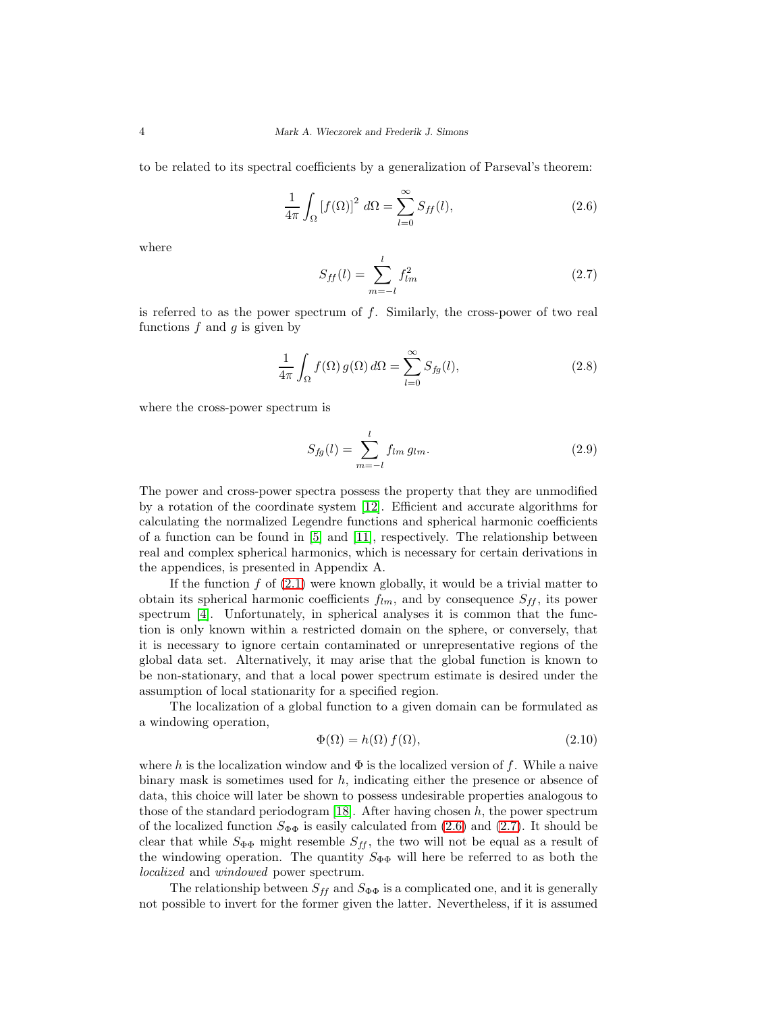to be related to its spectral coefficients by a generalization of Parseval's theorem:

<span id="page-3-0"></span>
$$
\frac{1}{4\pi} \int_{\Omega} \left[ f(\Omega) \right]^2 \, d\Omega = \sum_{l=0}^{\infty} S_{ff}(l),\tag{2.6}
$$

where

<span id="page-3-1"></span>
$$
S_{ff}(l) = \sum_{m=-l}^{l} f_{lm}^2
$$
 (2.7)

is referred to as the power spectrum of  $f$ . Similarly, the cross-power of two real functions  $f$  and  $g$  is given by

$$
\frac{1}{4\pi} \int_{\Omega} f(\Omega) g(\Omega) d\Omega = \sum_{l=0}^{\infty} S_{fg}(l),
$$
\n(2.8)

where the cross-power spectrum is

$$
S_{fg}(l) = \sum_{m=-l}^{l} f_{lm} g_{lm}.
$$
 (2.9)

The power and cross-power spectra possess the property that they are unmodified by a rotation of the coordinate system [\[12\]](#page-27-4). Efficient and accurate algorithms for calculating the normalized Legendre functions and spherical harmonic coefficients of a function can be found in [\[5\]](#page-27-5) and [\[11\]](#page-27-6), respectively. The relationship between real and complex spherical harmonics, which is necessary for certain derivations in the appendices, is presented in Appendix A.

If the function  $f$  of  $(2.1)$  were known globally, it would be a trivial matter to obtain its spherical harmonic coefficients  $f_{lm}$ , and by consequence  $S_{ff}$ , its power spectrum [\[4\]](#page-27-7). Unfortunately, in spherical analyses it is common that the function is only known within a restricted domain on the sphere, or conversely, that it is necessary to ignore certain contaminated or unrepresentative regions of the global data set. Alternatively, it may arise that the global function is known to be non-stationary, and that a local power spectrum estimate is desired under the assumption of local stationarity for a specified region.

The localization of a global function to a given domain can be formulated as a windowing operation,

$$
\Phi(\Omega) = h(\Omega) f(\Omega),\tag{2.10}
$$

where h is the localization window and  $\Phi$  is the localized version of f. While a naive binary mask is sometimes used for  $h$ , indicating either the presence or absence of data, this choice will later be shown to possess undesirable properties analogous to those of the standard periodogram [\[18\]](#page-28-0). After having chosen  $h$ , the power spectrum of the localized function  $S_{\Phi\Phi}$  is easily calculated from [\(2.6\)](#page-3-0) and [\(2.7\)](#page-3-1). It should be clear that while  $S_{\Phi\Phi}$  might resemble  $S_{ff}$ , the two will not be equal as a result of the windowing operation. The quantity  $S_{\Phi\Phi}$  will here be referred to as both the localized and windowed power spectrum.

The relationship between  $S_{ff}$  and  $S_{\Phi\Phi}$  is a complicated one, and it is generally not possible to invert for the former given the latter. Nevertheless, if it is assumed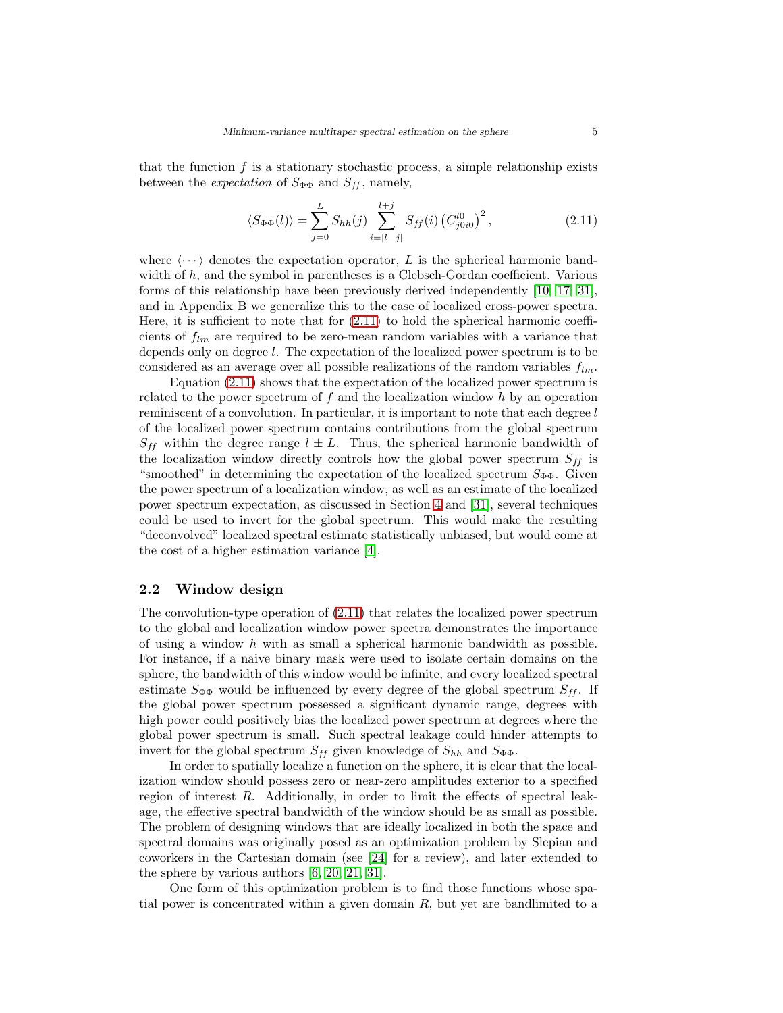that the function  $f$  is a stationary stochastic process, a simple relationship exists between the *expectation* of  $S_{\Phi\Phi}$  and  $S_{ff}$ , namely,

<span id="page-4-0"></span>
$$
\langle S_{\Phi\Phi}(l) \rangle = \sum_{j=0}^{L} S_{hh}(j) \sum_{i=|l-j|}^{l+j} S_{ff}(i) (C_{j0i0}^{l0})^2, \qquad (2.11)
$$

where  $\langle \cdots \rangle$  denotes the expectation operator, L is the spherical harmonic bandwidth of  $h$ , and the symbol in parentheses is a Clebsch-Gordan coefficient. Various forms of this relationship have been previously derived independently [\[10,](#page-27-1) [17,](#page-28-7) [31\]](#page-28-3), and in Appendix B we generalize this to the case of localized cross-power spectra. Here, it is sufficient to note that for [\(2.11\)](#page-4-0) to hold the spherical harmonic coefficients of  $f_{lm}$  are required to be zero-mean random variables with a variance that depends only on degree l. The expectation of the localized power spectrum is to be considered as an average over all possible realizations of the random variables  $f_{lm}$ .

Equation [\(2.11\)](#page-4-0) shows that the expectation of the localized power spectrum is related to the power spectrum of f and the localization window h by an operation reminiscent of a convolution. In particular, it is important to note that each degree l of the localized power spectrum contains contributions from the global spectrum  $S_{ff}$  within the degree range  $l \pm L$ . Thus, the spherical harmonic bandwidth of the localization window directly controls how the global power spectrum  $S_{ff}$  is "smoothed" in determining the expectation of the localized spectrum  $S_{\Phi\Phi}$ . Given the power spectrum of a localization window, as well as an estimate of the localized power spectrum expectation, as discussed in Section [4](#page-15-0) and [\[31\]](#page-28-3), several techniques could be used to invert for the global spectrum. This would make the resulting "deconvolved" localized spectral estimate statistically unbiased, but would come at the cost of a higher estimation variance [\[4\]](#page-27-7).

#### <span id="page-4-1"></span>2.2 Window design

The convolution-type operation of  $(2.11)$  that relates the localized power spectrum to the global and localization window power spectra demonstrates the importance of using a window h with as small a spherical harmonic bandwidth as possible. For instance, if a naive binary mask were used to isolate certain domains on the sphere, the bandwidth of this window would be infinite, and every localized spectral estimate  $S_{\Phi\Phi}$  would be influenced by every degree of the global spectrum  $S_{ff}$ . If the global power spectrum possessed a significant dynamic range, degrees with high power could positively bias the localized power spectrum at degrees where the global power spectrum is small. Such spectral leakage could hinder attempts to invert for the global spectrum  $S_{ff}$  given knowledge of  $S_{hh}$  and  $S_{\Phi\Phi}$ .

In order to spatially localize a function on the sphere, it is clear that the localization window should possess zero or near-zero amplitudes exterior to a specified region of interest R. Additionally, in order to limit the effects of spectral leakage, the effective spectral bandwidth of the window should be as small as possible. The problem of designing windows that are ideally localized in both the space and spectral domains was originally posed as an optimization problem by Slepian and coworkers in the Cartesian domain (see [\[24\]](#page-28-8) for a review), and later extended to the sphere by various authors [\[6,](#page-27-8) [20,](#page-28-9) [21,](#page-28-5) [31\]](#page-28-3).

One form of this optimization problem is to find those functions whose spatial power is concentrated within a given domain  $R$ , but yet are bandlimited to a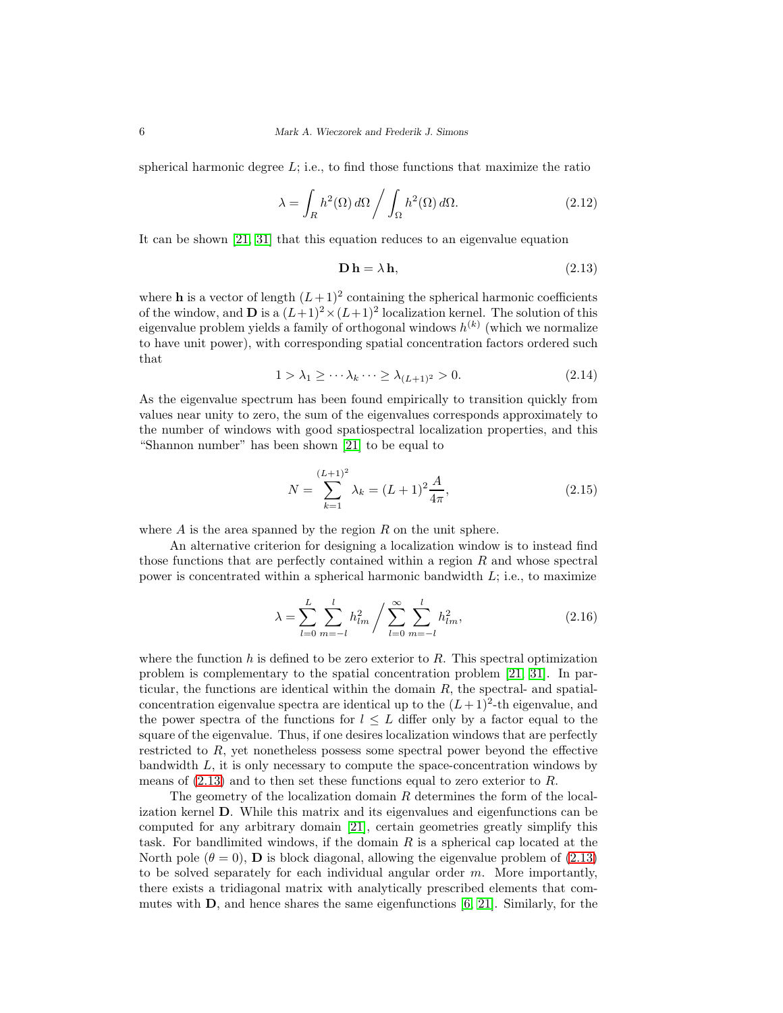spherical harmonic degree  $L$ ; i.e., to find those functions that maximize the ratio

$$
\lambda = \int_{R} h^{2}(\Omega) d\Omega / \int_{\Omega} h^{2}(\Omega) d\Omega.
$$
 (2.12)

It can be shown [\[21,](#page-28-5) [31\]](#page-28-3) that this equation reduces to an eigenvalue equation

<span id="page-5-0"></span>
$$
\mathbf{D}\,\mathbf{h} = \lambda\,\mathbf{h},\tag{2.13}
$$

where **h** is a vector of length  $(L+1)^2$  containing the spherical harmonic coefficients of the window, and **D** is a  $(L+1)^2 \times (L+1)^2$  localization kernel. The solution of this eigenvalue problem yields a family of orthogonal windows  $h^{(k)}$  (which we normalize to have unit power), with corresponding spatial concentration factors ordered such that

<span id="page-5-1"></span>
$$
1 > \lambda_1 \ge \cdots \lambda_k \cdots \ge \lambda_{(L+1)^2} > 0. \tag{2.14}
$$

As the eigenvalue spectrum has been found empirically to transition quickly from values near unity to zero, the sum of the eigenvalues corresponds approximately to the number of windows with good spatiospectral localization properties, and this "Shannon number" has been shown [\[21\]](#page-28-5) to be equal to

$$
N = \sum_{k=1}^{(L+1)^2} \lambda_k = (L+1)^2 \frac{A}{4\pi},\tag{2.15}
$$

where  $A$  is the area spanned by the region  $R$  on the unit sphere.

An alternative criterion for designing a localization window is to instead find those functions that are perfectly contained within a region  $R$  and whose spectral power is concentrated within a spherical harmonic bandwidth  $L$ ; i.e., to maximize

$$
\lambda = \sum_{l=0}^{L} \sum_{m=-l}^{l} h_{lm}^2 / \sum_{l=0}^{\infty} \sum_{m=-l}^{l} h_{lm}^2,
$$
\n(2.16)

where the function h is defined to be zero exterior to  $R$ . This spectral optimization problem is complementary to the spatial concentration problem [\[21,](#page-28-5) [31\]](#page-28-3). In particular, the functions are identical within the domain  $R$ , the spectral- and spatialconcentration eigenvalue spectra are identical up to the  $(L+1)^2$ -th eigenvalue, and the power spectra of the functions for  $l \leq L$  differ only by a factor equal to the square of the eigenvalue. Thus, if one desires localization windows that are perfectly restricted to R, yet nonetheless possess some spectral power beyond the effective bandwidth L, it is only necessary to compute the space-concentration windows by means of  $(2.13)$  and to then set these functions equal to zero exterior to R.

The geometry of the localization domain  $R$  determines the form of the localization kernel D. While this matrix and its eigenvalues and eigenfunctions can be computed for any arbitrary domain [\[21\]](#page-28-5), certain geometries greatly simplify this task. For bandlimited windows, if the domain  $R$  is a spherical cap located at the North pole  $(\theta = 0)$ , **D** is block diagonal, allowing the eigenvalue problem of [\(2.13\)](#page-5-0) to be solved separately for each individual angular order  $m$ . More importantly, there exists a tridiagonal matrix with analytically prescribed elements that commutes with  $\mathbf{D}$ , and hence shares the same eigenfunctions [\[6,](#page-27-8) [21\]](#page-28-5). Similarly, for the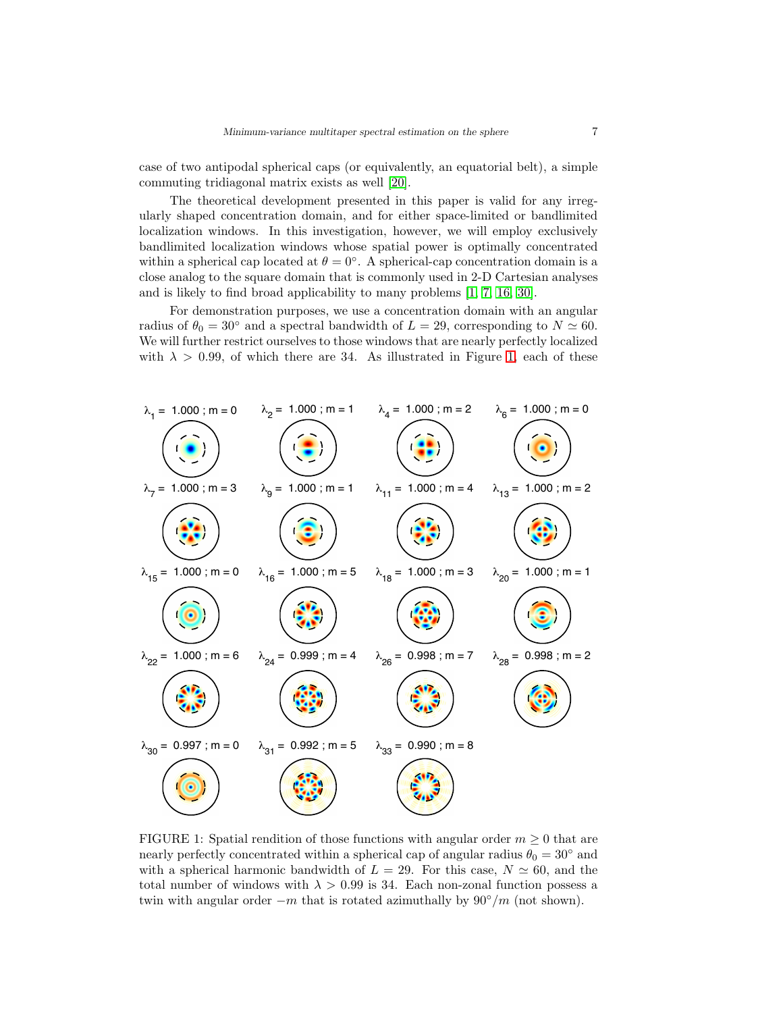case of two antipodal spherical caps (or equivalently, an equatorial belt), a simple commuting tridiagonal matrix exists as well [\[20\]](#page-28-9).

The theoretical development presented in this paper is valid for any irregularly shaped concentration domain, and for either space-limited or bandlimited localization windows. In this investigation, however, we will employ exclusively bandlimited localization windows whose spatial power is optimally concentrated within a spherical cap located at  $\theta = 0^{\circ}$ . A spherical-cap concentration domain is a close analog to the square domain that is commonly used in 2-D Cartesian analyses and is likely to find broad applicability to many problems [\[1,](#page-27-9) [7,](#page-27-10) [16,](#page-27-11) [30\]](#page-28-10).

For demonstration purposes, we use a concentration domain with an angular radius of  $\theta_0 = 30^\circ$  and a spectral bandwidth of  $L = 29$ , corresponding to  $N \simeq 60$ . We will further restrict ourselves to those windows that are nearly perfectly localized with  $\lambda > 0.99$ , of which there are 34. As illustrated in Figure [1,](#page-6-0) each of these



<span id="page-6-0"></span>FIGURE 1: Spatial rendition of those functions with angular order  $m \geq 0$  that are nearly perfectly concentrated within a spherical cap of angular radius  $\theta_0 = 30°$  and with a spherical harmonic bandwidth of  $L = 29$ . For this case,  $N \simeq 60$ , and the total number of windows with  $\lambda > 0.99$  is 34. Each non-zonal function possess a twin with angular order  $-m$  that is rotated azimuthally by  $90°/m$  (not shown).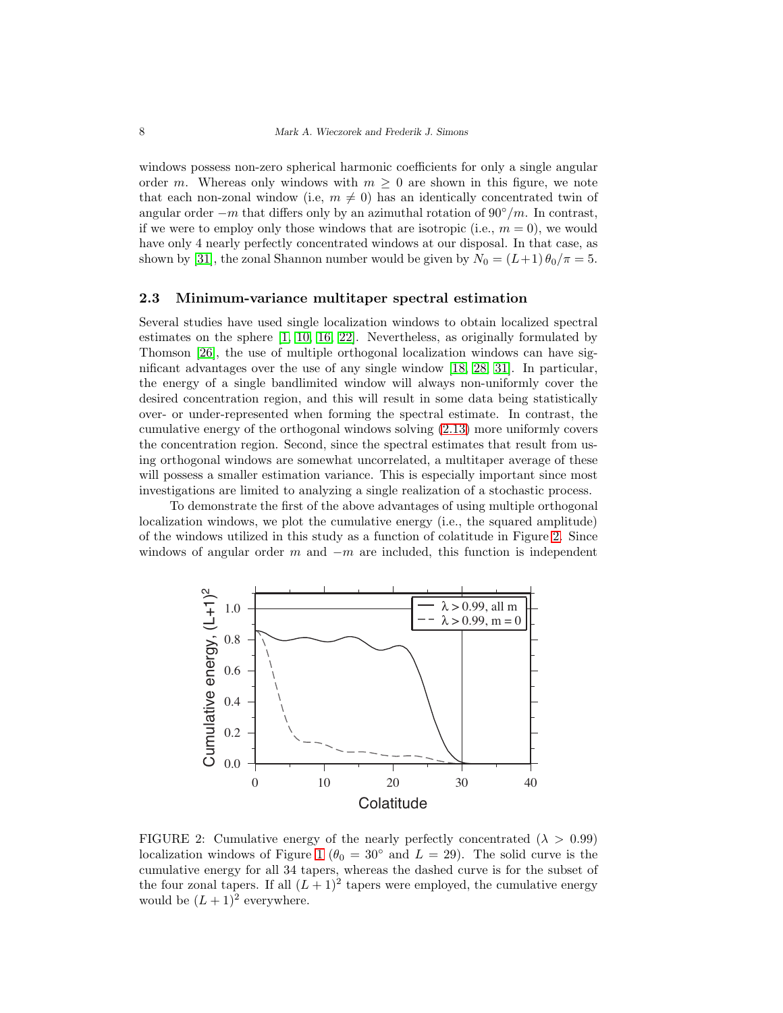windows possess non-zero spherical harmonic coefficients for only a single angular order m. Whereas only windows with  $m \geq 0$  are shown in this figure, we note that each non-zonal window (i.e,  $m \neq 0$ ) has an identically concentrated twin of angular order  $-m$  that differs only by an azimuthal rotation of 90 $\degree/m$ . In contrast, if we were to employ only those windows that are isotropic (i.e.,  $m = 0$ ), we would have only 4 nearly perfectly concentrated windows at our disposal. In that case, as shown by [\[31\]](#page-28-3), the zonal Shannon number would be given by  $N_0 = (L+1) \theta_0 / \pi = 5$ .

#### 2.3 Minimum-variance multitaper spectral estimation

Several studies have used single localization windows to obtain localized spectral estimates on the sphere [\[1,](#page-27-9) [10,](#page-27-1) [16,](#page-27-11) [22\]](#page-28-11). Nevertheless, as originally formulated by Thomson [\[26\]](#page-28-4), the use of multiple orthogonal localization windows can have significant advantages over the use of any single window [\[18,](#page-28-0) [28,](#page-28-12) [31\]](#page-28-3). In particular, the energy of a single bandlimited window will always non-uniformly cover the desired concentration region, and this will result in some data being statistically over- or under-represented when forming the spectral estimate. In contrast, the cumulative energy of the orthogonal windows solving [\(2.13\)](#page-5-0) more uniformly covers the concentration region. Second, since the spectral estimates that result from using orthogonal windows are somewhat uncorrelated, a multitaper average of these will possess a smaller estimation variance. This is especially important since most investigations are limited to analyzing a single realization of a stochastic process.

To demonstrate the first of the above advantages of using multiple orthogonal localization windows, we plot the cumulative energy (i.e., the squared amplitude) of the windows utilized in this study as a function of colatitude in Figure [2.](#page-7-0) Since windows of angular order m and  $-m$  are included, this function is independent



<span id="page-7-0"></span>FIGURE 2: Cumulative energy of the nearly perfectly concentrated  $(\lambda > 0.99)$ localization windows of Figure [1](#page-6-0) ( $\theta_0 = 30^\circ$  and  $L = 29$ ). The solid curve is the cumulative energy for all 34 tapers, whereas the dashed curve is for the subset of the four zonal tapers. If all  $(L+1)^2$  tapers were employed, the cumulative energy would be  $(L+1)^2$  everywhere.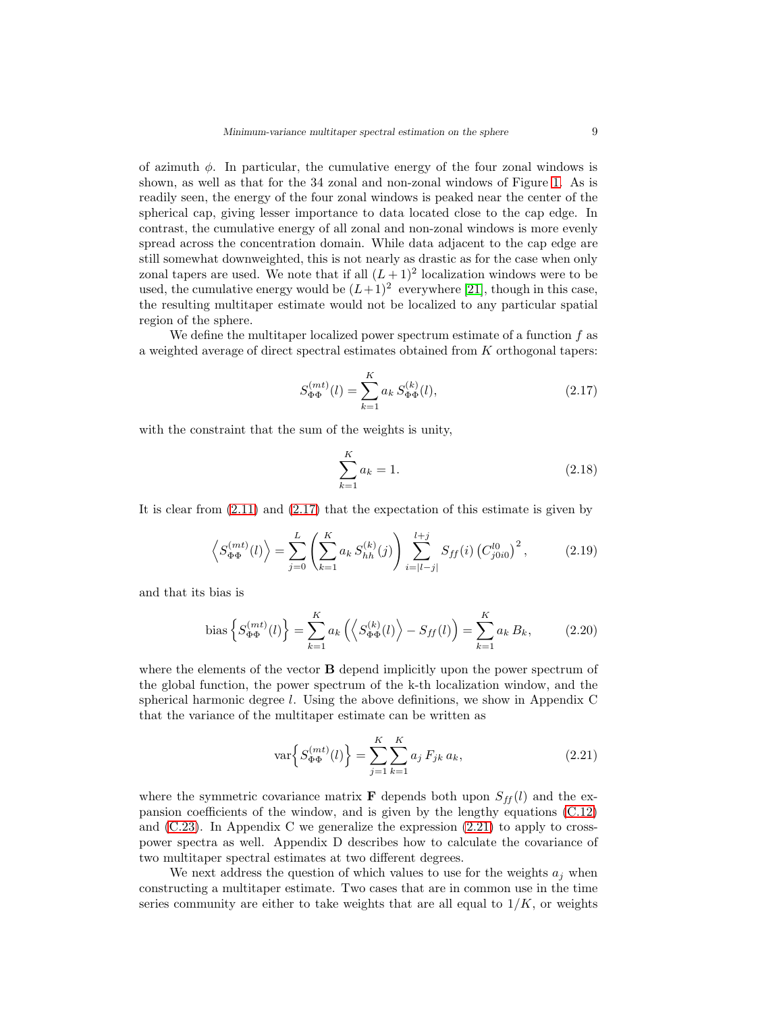of azimuth  $\phi$ . In particular, the cumulative energy of the four zonal windows is shown, as well as that for the 34 zonal and non-zonal windows of Figure [1.](#page-6-0) As is readily seen, the energy of the four zonal windows is peaked near the center of the spherical cap, giving lesser importance to data located close to the cap edge. In contrast, the cumulative energy of all zonal and non-zonal windows is more evenly spread across the concentration domain. While data adjacent to the cap edge are still somewhat downweighted, this is not nearly as drastic as for the case when only zonal tapers are used. We note that if all  $(L+1)^2$  localization windows were to be used, the cumulative energy would be  $(L+1)^2$  everywhere [\[21\]](#page-28-5), though in this case, the resulting multitaper estimate would not be localized to any particular spatial region of the sphere.

We define the multitaper localized power spectrum estimate of a function  $f$  as a weighted average of direct spectral estimates obtained from K orthogonal tapers:

<span id="page-8-0"></span>
$$
S_{\Phi\Phi}^{(mt)}(l) = \sum_{k=1}^{K} a_k S_{\Phi\Phi}^{(k)}(l),
$$
\n(2.17)

with the constraint that the sum of the weights is unity,

<span id="page-8-3"></span>
$$
\sum_{k=1}^{K} a_k = 1.
$$
\n(2.18)

It is clear from [\(2.11\)](#page-4-0) and [\(2.17\)](#page-8-0) that the expectation of this estimate is given by

<span id="page-8-2"></span>
$$
\left\langle S_{\Phi\Phi}^{(mt)}(l) \right\rangle = \sum_{j=0}^{L} \left( \sum_{k=1}^{K} a_k S_{hh}^{(k)}(j) \right) \sum_{i=|l-j|}^{l+j} S_{ff}(i) \left( C_{j0i0}^{l0} \right)^2, \tag{2.19}
$$

and that its bias is

bias 
$$
\left\{ S_{\Phi\Phi}^{(mt)}(l) \right\} = \sum_{k=1}^{K} a_k \left( \left\langle S_{\Phi\Phi}^{(k)}(l) \right\rangle - S_{ff}(l) \right) = \sum_{k=1}^{K} a_k B_k,
$$
 (2.20)

where the elements of the vector **B** depend implicitly upon the power spectrum of the global function, the power spectrum of the k-th localization window, and the spherical harmonic degree  $l$ . Using the above definitions, we show in Appendix C that the variance of the multitaper estimate can be written as

<span id="page-8-1"></span>
$$
\text{var}\left\{S_{\Phi\Phi}^{(mt)}(l)\right\} = \sum_{j=1}^{K} \sum_{k=1}^{K} a_j \, F_{jk} \, a_k,\tag{2.21}
$$

where the symmetric covariance matrix **F** depends both upon  $S_{ff}(l)$  and the expansion coefficients of the window, and is given by the lengthy equations [\(C.12\)](#page-25-0) and  $(C.23)$ . In Appendix C we generalize the expression  $(2.21)$  to apply to crosspower spectra as well. Appendix D describes how to calculate the covariance of two multitaper spectral estimates at two different degrees.

We next address the question of which values to use for the weights  $a_i$  when constructing a multitaper estimate. Two cases that are in common use in the time series community are either to take weights that are all equal to  $1/K$ , or weights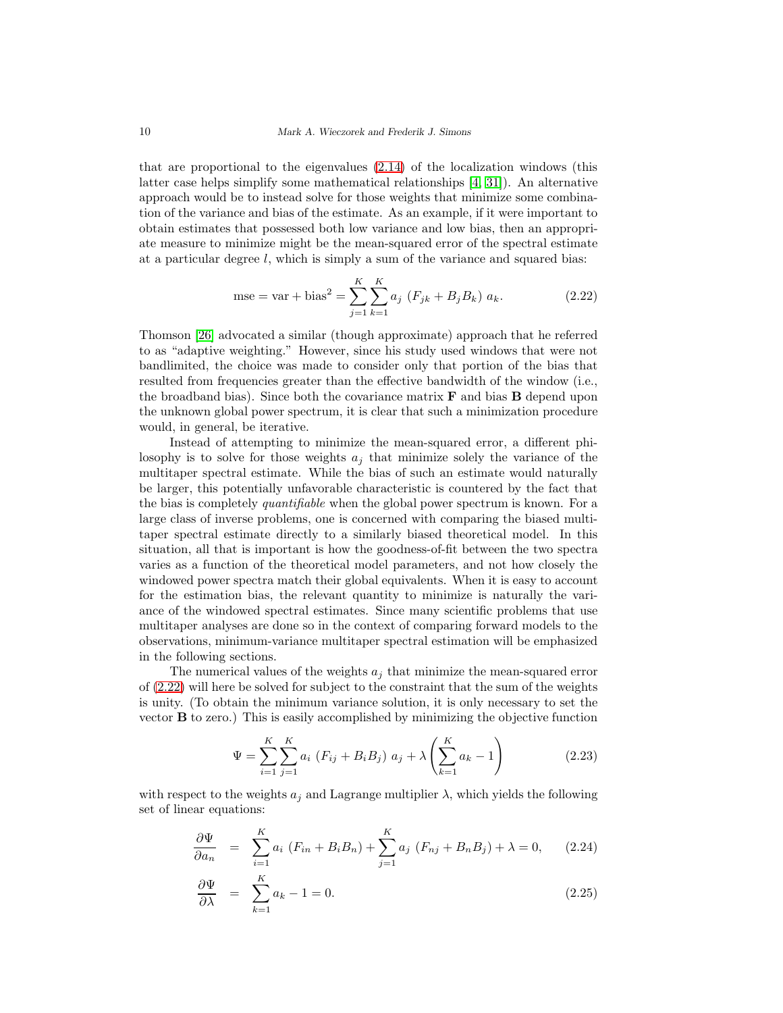that are proportional to the eigenvalues [\(2.14\)](#page-5-1) of the localization windows (this latter case helps simplify some mathematical relationships [\[4,](#page-27-7) [31\]](#page-28-3)). An alternative approach would be to instead solve for those weights that minimize some combination of the variance and bias of the estimate. As an example, if it were important to obtain estimates that possessed both low variance and low bias, then an appropriate measure to minimize might be the mean-squared error of the spectral estimate at a particular degree  $l$ , which is simply a sum of the variance and squared bias:

<span id="page-9-0"></span>mse = var + bias<sup>2</sup> = 
$$
\sum_{j=1}^{K} \sum_{k=1}^{K} a_j (F_{jk} + B_j B_k) a_k.
$$
 (2.22)

Thomson [\[26\]](#page-28-4) advocated a similar (though approximate) approach that he referred to as "adaptive weighting." However, since his study used windows that were not bandlimited, the choice was made to consider only that portion of the bias that resulted from frequencies greater than the effective bandwidth of the window (i.e., the broadband bias). Since both the covariance matrix  $\bf{F}$  and bias  $\bf{B}$  depend upon the unknown global power spectrum, it is clear that such a minimization procedure would, in general, be iterative.

Instead of attempting to minimize the mean-squared error, a different philosophy is to solve for those weights  $a_j$  that minimize solely the variance of the multitaper spectral estimate. While the bias of such an estimate would naturally be larger, this potentially unfavorable characteristic is countered by the fact that the bias is completely quantifiable when the global power spectrum is known. For a large class of inverse problems, one is concerned with comparing the biased multitaper spectral estimate directly to a similarly biased theoretical model. In this situation, all that is important is how the goodness-of-fit between the two spectra varies as a function of the theoretical model parameters, and not how closely the windowed power spectra match their global equivalents. When it is easy to account for the estimation bias, the relevant quantity to minimize is naturally the variance of the windowed spectral estimates. Since many scientific problems that use multitaper analyses are done so in the context of comparing forward models to the observations, minimum-variance multitaper spectral estimation will be emphasized in the following sections.

The numerical values of the weights  $a_j$  that minimize the mean-squared error of [\(2.22\)](#page-9-0) will here be solved for subject to the constraint that the sum of the weights is unity. (To obtain the minimum variance solution, it is only necessary to set the vector B to zero.) This is easily accomplished by minimizing the objective function

$$
\Psi = \sum_{i=1}^{K} \sum_{j=1}^{K} a_i \left( F_{ij} + B_i B_j \right) a_j + \lambda \left( \sum_{k=1}^{K} a_k - 1 \right)
$$
 (2.23)

with respect to the weights  $a_j$  and Lagrange multiplier  $\lambda$ , which yields the following set of linear equations:

$$
\frac{\partial \Psi}{\partial a_n} = \sum_{i=1}^K a_i \left( F_{in} + B_i B_n \right) + \sum_{j=1}^K a_j \left( F_{nj} + B_n B_j \right) + \lambda = 0, \qquad (2.24)
$$

$$
\frac{\partial \Psi}{\partial \lambda} = \sum_{k=1}^{K} a_k - 1 = 0. \tag{2.25}
$$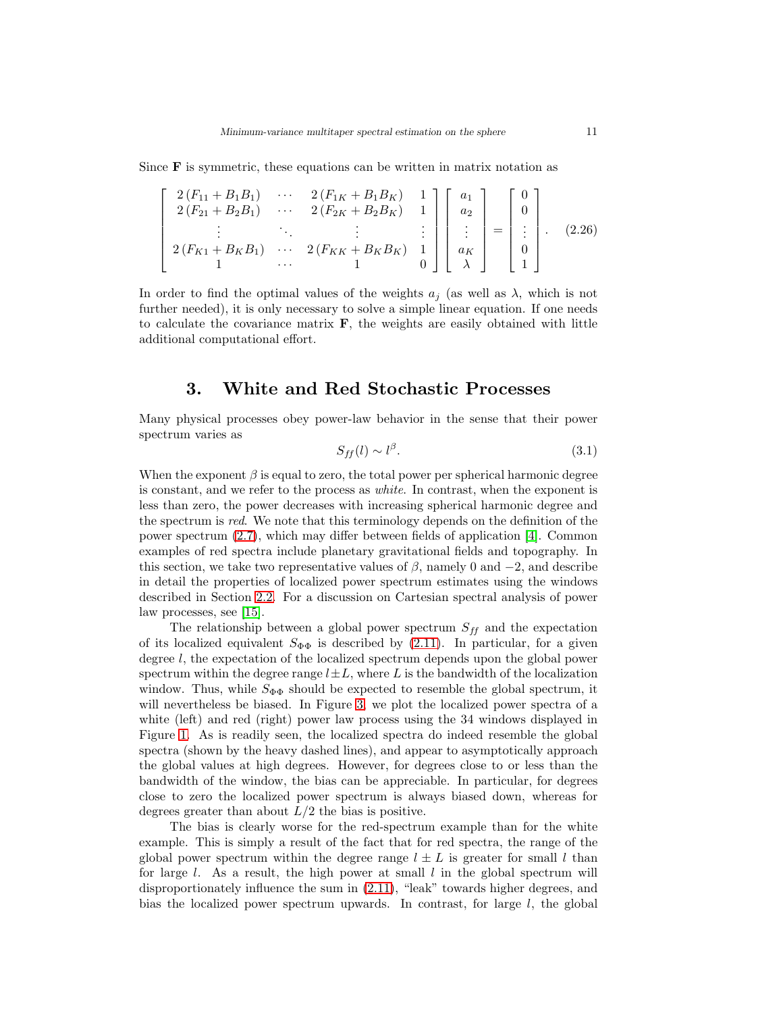Since  **is symmetric, these equations can be written in matrix notation as** 

$$
\begin{bmatrix}\n2(F_{11} + B_1 B_1) & \cdots & 2(F_{1K} + B_1 B_K) & 1 \\
2(F_{21} + B_2 B_1) & \cdots & 2(F_{2K} + B_2 B_K) & 1 \\
\vdots & \ddots & \vdots & \vdots \\
2(F_{K1} + B_K B_1) & \cdots & 2(F_{KK} + B_K B_K) & 1 \\
1 & \cdots & 1 & 0\n\end{bmatrix}\n\begin{bmatrix}\na_1 \\
a_2 \\
\vdots \\
a_K \\
0 \\
1\n\end{bmatrix} =\n\begin{bmatrix}\n0 \\
0 \\
\vdots \\
0 \\
1\n\end{bmatrix}.
$$
\n(2.26)

In order to find the optimal values of the weights  $a_i$  (as well as  $\lambda$ , which is not further needed), it is only necessary to solve a simple linear equation. If one needs to calculate the covariance matrix  $\bf{F}$ , the weights are easily obtained with little additional computational effort.

### 3. White and Red Stochastic Processes

Many physical processes obey power-law behavior in the sense that their power spectrum varies as

$$
S_{ff}(l) \sim l^{\beta}.\tag{3.1}
$$

When the exponent  $\beta$  is equal to zero, the total power per spherical harmonic degree is constant, and we refer to the process as white. In contrast, when the exponent is less than zero, the power decreases with increasing spherical harmonic degree and the spectrum is red. We note that this terminology depends on the definition of the power spectrum [\(2.7\)](#page-3-1), which may differ between fields of application [\[4\]](#page-27-7). Common examples of red spectra include planetary gravitational fields and topography. In this section, we take two representative values of  $\beta$ , namely 0 and  $-2$ , and describe in detail the properties of localized power spectrum estimates using the windows described in Section [2.2.](#page-4-1) For a discussion on Cartesian spectral analysis of power law processes, see [\[15\]](#page-27-12).

The relationship between a global power spectrum  $S_{ff}$  and the expectation of its localized equivalent  $S_{\Phi\Phi}$  is described by [\(2.11\)](#page-4-0). In particular, for a given degree l, the expectation of the localized spectrum depends upon the global power spectrum within the degree range  $l\pm L$ , where L is the bandwidth of the localization window. Thus, while  $S_{\Phi\Phi}$  should be expected to resemble the global spectrum, it will nevertheless be biased. In Figure [3,](#page-11-0) we plot the localized power spectra of a white (left) and red (right) power law process using the 34 windows displayed in Figure [1.](#page-6-0) As is readily seen, the localized spectra do indeed resemble the global spectra (shown by the heavy dashed lines), and appear to asymptotically approach the global values at high degrees. However, for degrees close to or less than the bandwidth of the window, the bias can be appreciable. In particular, for degrees close to zero the localized power spectrum is always biased down, whereas for degrees greater than about  $L/2$  the bias is positive.

The bias is clearly worse for the red-spectrum example than for the white example. This is simply a result of the fact that for red spectra, the range of the global power spectrum within the degree range  $l \pm L$  is greater for small l than for large  $l$ . As a result, the high power at small  $l$  in the global spectrum will disproportionately influence the sum in [\(2.11\)](#page-4-0), "leak" towards higher degrees, and bias the localized power spectrum upwards. In contrast, for large  $l$ , the global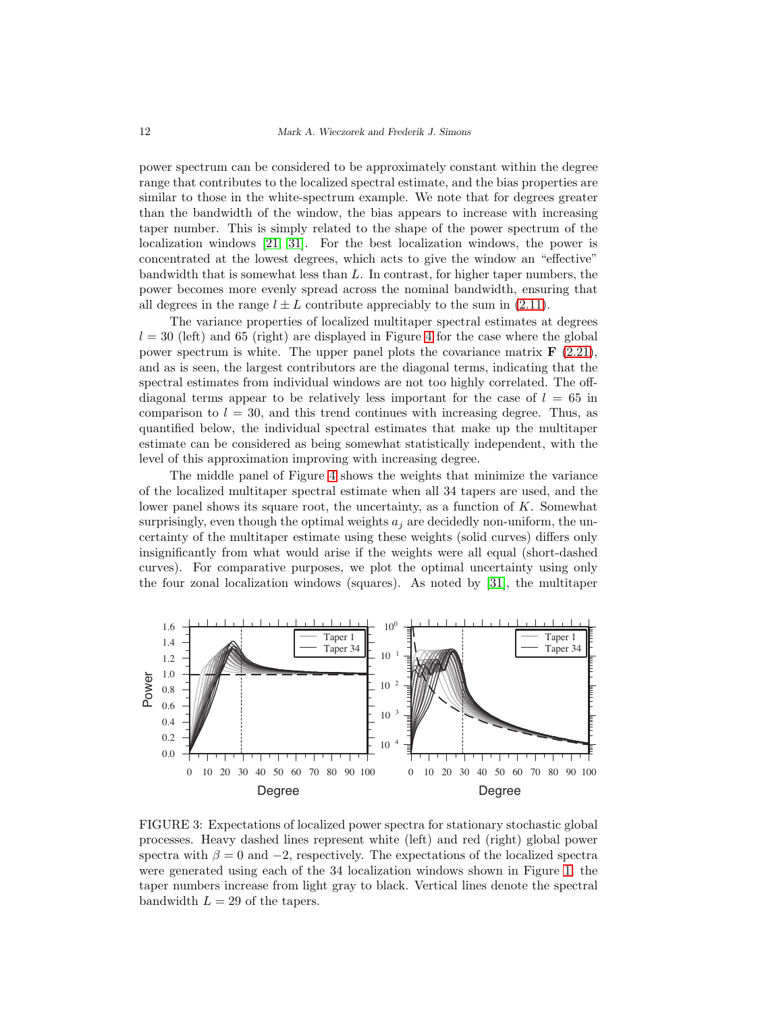power spectrum can be considered to be approximately constant within the degree range that contributes to the localized spectral estimate, and the bias properties are similar to those in the white-spectrum example. We note that for degrees greater than the bandwidth of the window, the bias appears to increase with increasing taper number. This is simply related to the shape of the power spectrum of the localization windows [\[21,](#page-28-5) [31\]](#page-28-3). For the best localization windows, the power is concentrated at the lowest degrees, which acts to give the window an "effective" bandwidth that is somewhat less than  $L$ . In contrast, for higher taper numbers, the power becomes more evenly spread across the nominal bandwidth, ensuring that all degrees in the range  $l \pm L$  contribute appreciably to the sum in [\(2.11\)](#page-4-0).

The variance properties of localized multitaper spectral estimates at degrees  $l = 30$  (left) and 65 (right) are displayed in Figure [4](#page-12-0) for the case where the global power spectrum is white. The upper panel plots the covariance matrix  $\bf{F}$  [\(2.21\)](#page-8-1), and as is seen, the largest contributors are the diagonal terms, indicating that the spectral estimates from individual windows are not too highly correlated. The offdiagonal terms appear to be relatively less important for the case of  $l = 65$  in comparison to  $l = 30$ , and this trend continues with increasing degree. Thus, as quantified below, the individual spectral estimates that make up the multitaper estimate can be considered as being somewhat statistically independent, with the level of this approximation improving with increasing degree.

The middle panel of Figure [4](#page-12-0) shows the weights that minimize the variance of the localized multitaper spectral estimate when all 34 tapers are used, and the lower panel shows its square root, the uncertainty, as a function of  $K$ . Somewhat surprisingly, even though the optimal weights  $a_i$  are decidedly non-uniform, the uncertainty of the multitaper estimate using these weights (solid curves) differs only insignificantly from what would arise if the weights were all equal (short-dashed curves). For comparative purposes, we plot the optimal uncertainty using only the four zonal localization windows (squares). As noted by [\[31\]](#page-28-3), the multitaper



<span id="page-11-0"></span>FIGURE 3: Expectations of localized power spectra for stationary stochastic global processes. Heavy dashed lines represent white (left) and red (right) global power spectra with  $\beta = 0$  and  $-2$ , respectively. The expectations of the localized spectra were generated using each of the 34 localization windows shown in Figure [1;](#page-6-0) the taper numbers increase from light gray to black. Vertical lines denote the spectral bandwidth  $L = 29$  of the tapers.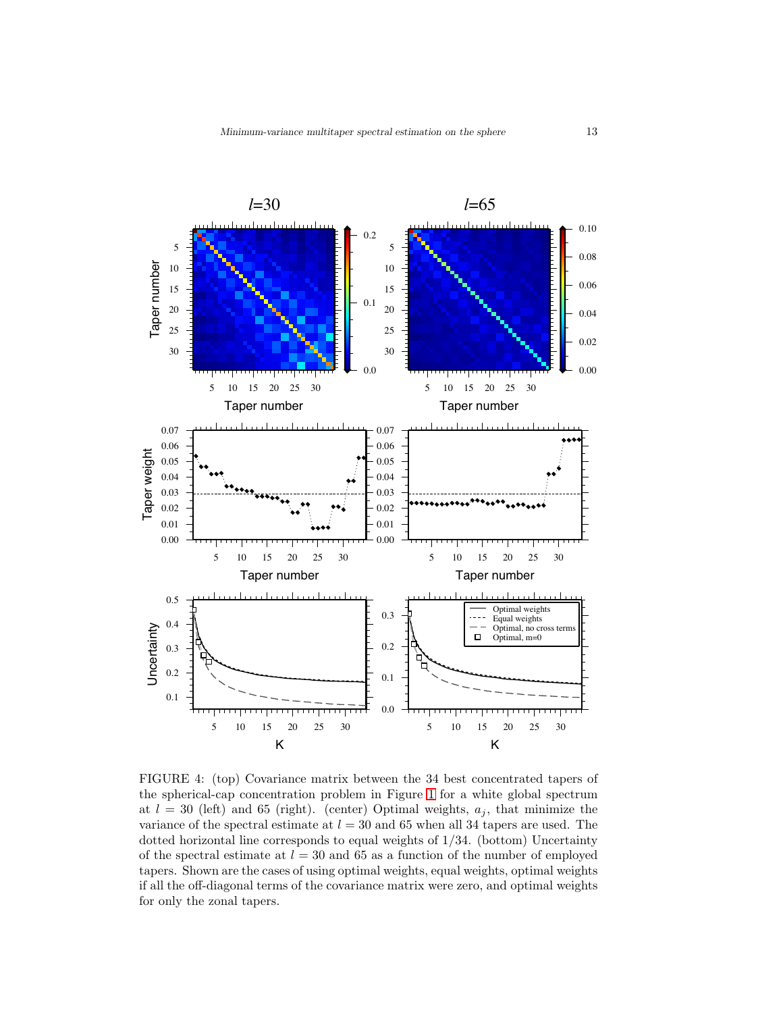

<span id="page-12-0"></span>FIGURE 4: (top) Covariance matrix between the 34 best concentrated tapers of the spherical-cap concentration problem in Figure [1](#page-6-0) for a white global spectrum at  $l = 30$  (left) and 65 (right). (center) Optimal weights,  $a_j$ , that minimize the variance of the spectral estimate at  $l = 30$  and 65 when all 34 tapers are used. The dotted horizontal line corresponds to equal weights of 1/34. (bottom) Uncertainty of the spectral estimate at  $l = 30$  and 65 as a function of the number of employed tapers. Shown are the cases of using optimal weights, equal weights, optimal weights if all the off-diagonal terms of the covariance matrix were zero, and optimal weights for only the zonal tapers.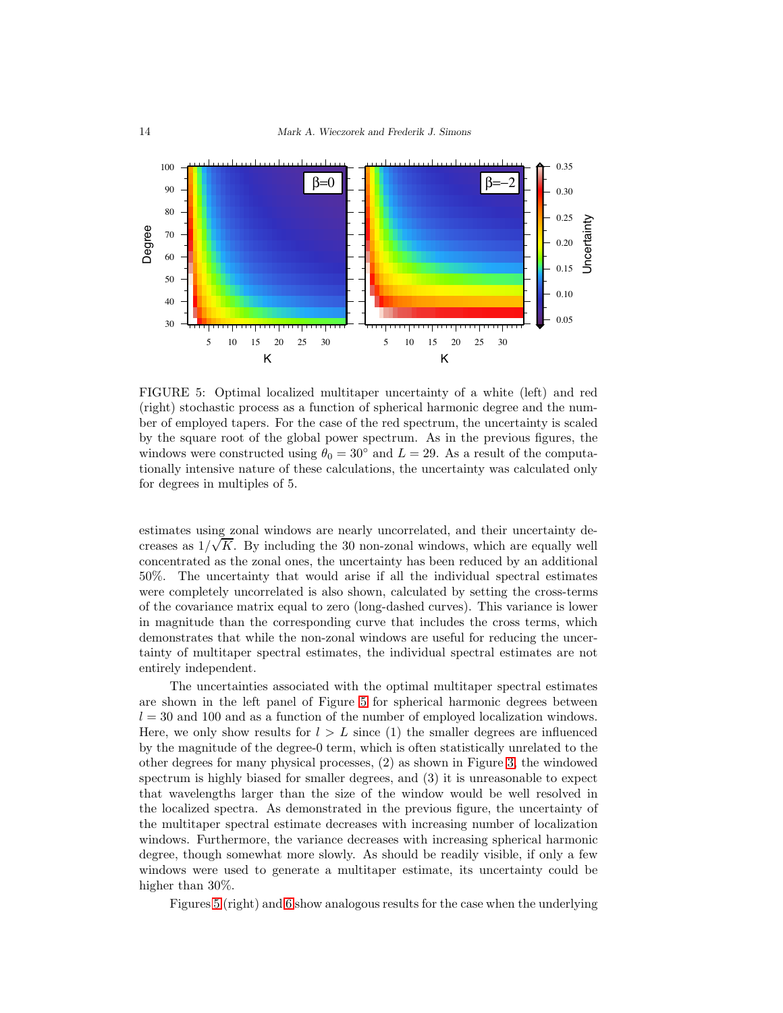

<span id="page-13-0"></span>FIGURE 5: Optimal localized multitaper uncertainty of a white (left) and red (right) stochastic process as a function of spherical harmonic degree and the number of employed tapers. For the case of the red spectrum, the uncertainty is scaled by the square root of the global power spectrum. As in the previous figures, the windows were constructed using  $\theta_0 = 30^\circ$  and  $L = 29$ . As a result of the computationally intensive nature of these calculations, the uncertainty was calculated only for degrees in multiples of 5.

estimates using zonal windows are nearly uncorrelated, and their uncertainty decreases as  $1/\sqrt{K}$ . By including the 30 non-zonal windows, which are equally well concentrated as the zonal ones, the uncertainty has been reduced by an additional 50%. The uncertainty that would arise if all the individual spectral estimates were completely uncorrelated is also shown, calculated by setting the cross-terms of the covariance matrix equal to zero (long-dashed curves). This variance is lower in magnitude than the corresponding curve that includes the cross terms, which demonstrates that while the non-zonal windows are useful for reducing the uncertainty of multitaper spectral estimates, the individual spectral estimates are not entirely independent.

The uncertainties associated with the optimal multitaper spectral estimates are shown in the left panel of Figure [5](#page-13-0) for spherical harmonic degrees between  $l = 30$  and 100 and as a function of the number of employed localization windows. Here, we only show results for  $l > L$  since (1) the smaller degrees are influenced by the magnitude of the degree-0 term, which is often statistically unrelated to the other degrees for many physical processes, (2) as shown in Figure [3,](#page-11-0) the windowed spectrum is highly biased for smaller degrees, and (3) it is unreasonable to expect that wavelengths larger than the size of the window would be well resolved in the localized spectra. As demonstrated in the previous figure, the uncertainty of the multitaper spectral estimate decreases with increasing number of localization windows. Furthermore, the variance decreases with increasing spherical harmonic degree, though somewhat more slowly. As should be readily visible, if only a few windows were used to generate a multitaper estimate, its uncertainty could be higher than  $30\%$ .

Figures [5](#page-13-0) (right) and [6](#page-14-0) show analogous results for the case when the underlying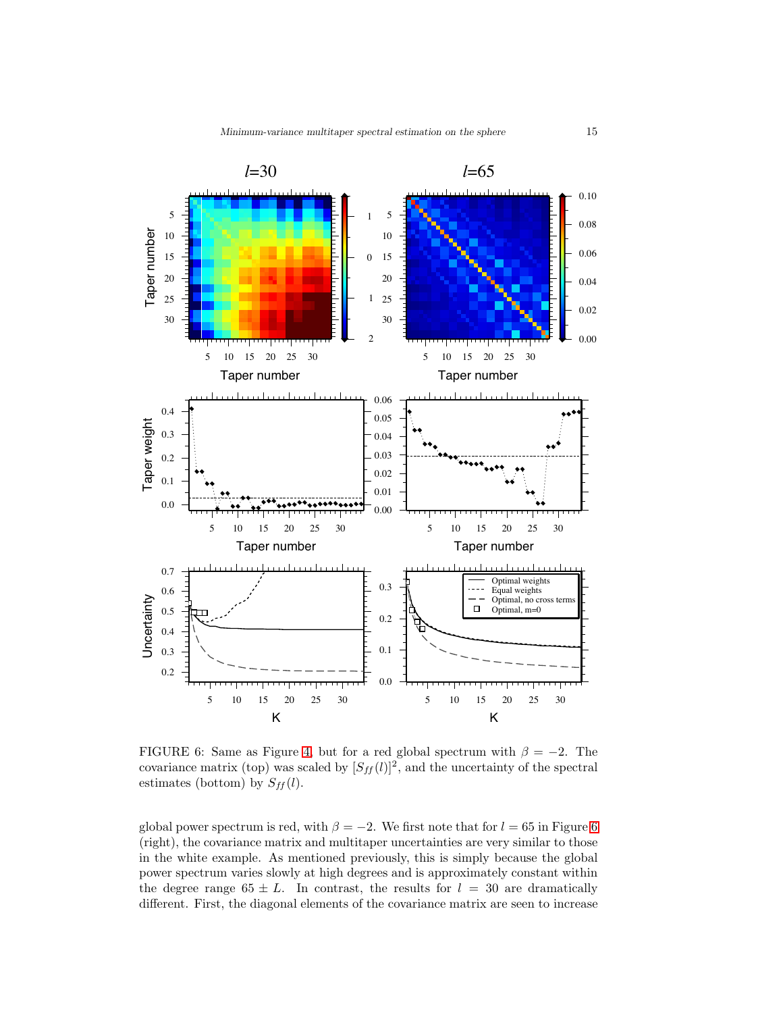

<span id="page-14-0"></span>FIGURE 6: Same as Figure [4,](#page-12-0) but for a red global spectrum with  $\beta = -2$ . The covariance matrix (top) was scaled by  $[S_{ff}(l)]^2$ , and the uncertainty of the spectral estimates (bottom) by  $S_{ff}(l)$ .

global power spectrum is red, with  $\beta = -2$ . We first note that for  $l = 65$  $l = 65$  $l = 65$  in Figure 6 (right), the covariance matrix and multitaper uncertainties are very similar to those in the white example. As mentioned previously, this is simply because the global power spectrum varies slowly at high degrees and is approximately constant within the degree range  $65 \pm L$ . In contrast, the results for  $l = 30$  are dramatically different. First, the diagonal elements of the covariance matrix are seen to increase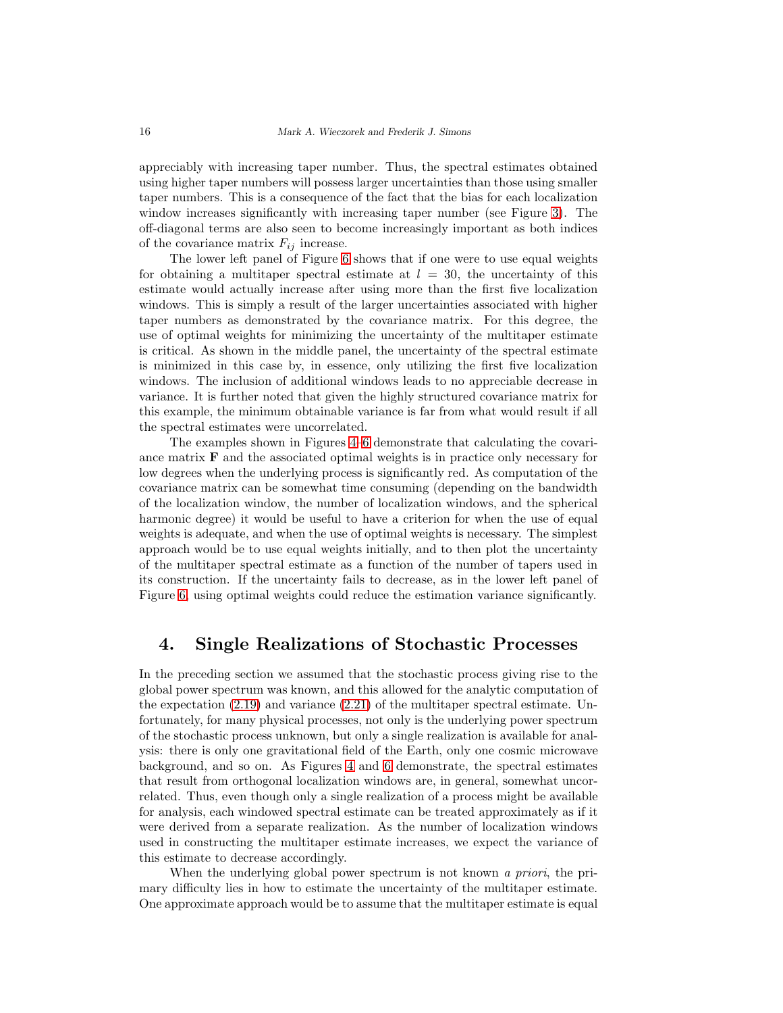appreciably with increasing taper number. Thus, the spectral estimates obtained using higher taper numbers will possess larger uncertainties than those using smaller taper numbers. This is a consequence of the fact that the bias for each localization window increases significantly with increasing taper number (see Figure [3\)](#page-11-0). The off-diagonal terms are also seen to become increasingly important as both indices of the covariance matrix  $F_{ij}$  increase.

The lower left panel of Figure [6](#page-14-0) shows that if one were to use equal weights for obtaining a multitaper spectral estimate at  $l = 30$ , the uncertainty of this estimate would actually increase after using more than the first five localization windows. This is simply a result of the larger uncertainties associated with higher taper numbers as demonstrated by the covariance matrix. For this degree, the use of optimal weights for minimizing the uncertainty of the multitaper estimate is critical. As shown in the middle panel, the uncertainty of the spectral estimate is minimized in this case by, in essence, only utilizing the first five localization windows. The inclusion of additional windows leads to no appreciable decrease in variance. It is further noted that given the highly structured covariance matrix for this example, the minimum obtainable variance is far from what would result if all the spectral estimates were uncorrelated.

The examples shown in Figures [4–](#page-12-0)[6](#page-14-0) demonstrate that calculating the covariance matrix  $\bf{F}$  and the associated optimal weights is in practice only necessary for low degrees when the underlying process is significantly red. As computation of the covariance matrix can be somewhat time consuming (depending on the bandwidth of the localization window, the number of localization windows, and the spherical harmonic degree) it would be useful to have a criterion for when the use of equal weights is adequate, and when the use of optimal weights is necessary. The simplest approach would be to use equal weights initially, and to then plot the uncertainty of the multitaper spectral estimate as a function of the number of tapers used in its construction. If the uncertainty fails to decrease, as in the lower left panel of Figure [6,](#page-14-0) using optimal weights could reduce the estimation variance significantly.

#### <span id="page-15-0"></span>4. Single Realizations of Stochastic Processes

In the preceding section we assumed that the stochastic process giving rise to the global power spectrum was known, and this allowed for the analytic computation of the expectation  $(2.19)$  and variance  $(2.21)$  of the multitaper spectral estimate. Unfortunately, for many physical processes, not only is the underlying power spectrum of the stochastic process unknown, but only a single realization is available for analysis: there is only one gravitational field of the Earth, only one cosmic microwave background, and so on. As Figures [4](#page-12-0) and [6](#page-14-0) demonstrate, the spectral estimates that result from orthogonal localization windows are, in general, somewhat uncorrelated. Thus, even though only a single realization of a process might be available for analysis, each windowed spectral estimate can be treated approximately as if it were derived from a separate realization. As the number of localization windows used in constructing the multitaper estimate increases, we expect the variance of this estimate to decrease accordingly.

When the underlying global power spectrum is not known a priori, the primary difficulty lies in how to estimate the uncertainty of the multitaper estimate. One approximate approach would be to assume that the multitaper estimate is equal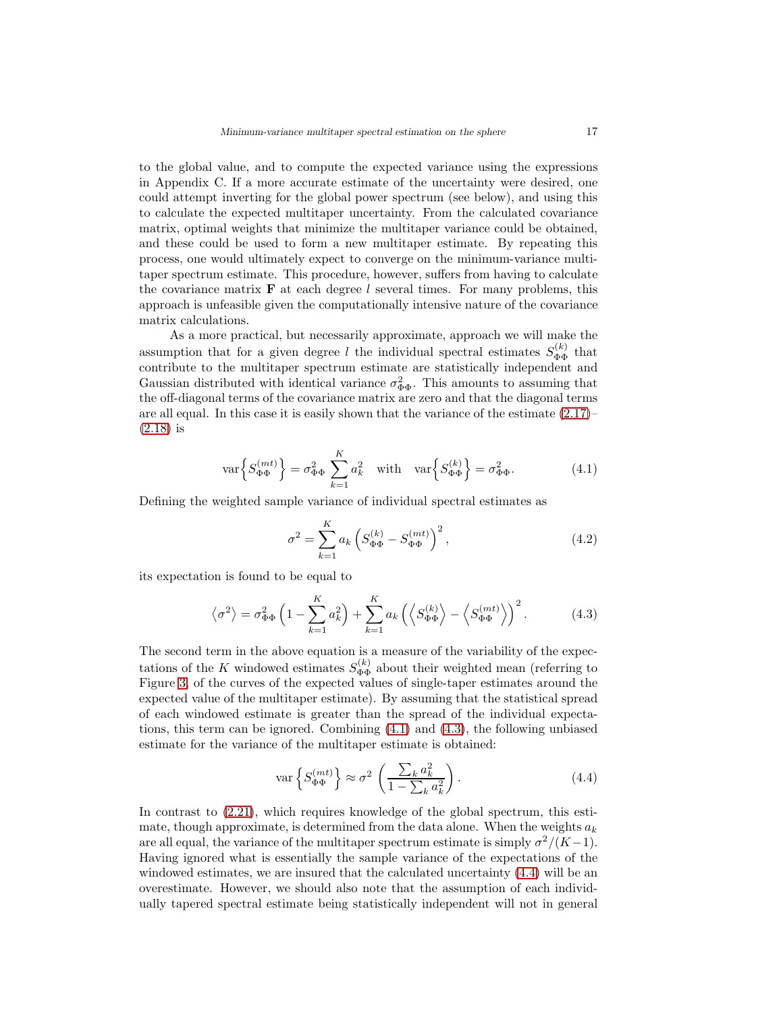to the global value, and to compute the expected variance using the expressions in Appendix C. If a more accurate estimate of the uncertainty were desired, one could attempt inverting for the global power spectrum (see below), and using this to calculate the expected multitaper uncertainty. From the calculated covariance matrix, optimal weights that minimize the multitaper variance could be obtained, and these could be used to form a new multitaper estimate. By repeating this process, one would ultimately expect to converge on the minimum-variance multitaper spectrum estimate. This procedure, however, suffers from having to calculate the covariance matrix  $\bf{F}$  at each degree l several times. For many problems, this approach is unfeasible given the computationally intensive nature of the covariance matrix calculations.

As a more practical, but necessarily approximate, approach we will make the assumption that for a given degree l the individual spectral estimates  $S_{\Phi\Phi}^{(k)}$  that contribute to the multitaper spectrum estimate are statistically independent and Gaussian distributed with identical variance  $\sigma_{\Phi\Phi}^2$ . This amounts to assuming that the off-diagonal terms of the covariance matrix are zero and that the diagonal terms are all equal. In this case it is easily shown that the variance of the estimate  $(2.17)$ [\(2.18\)](#page-8-3) is

<span id="page-16-0"></span>
$$
\text{var}\left\{S_{\Phi\Phi}^{(mt)}\right\} = \sigma_{\Phi\Phi}^2 \sum_{k=1}^K a_k^2 \quad \text{with} \quad \text{var}\left\{S_{\Phi\Phi}^{(k)}\right\} = \sigma_{\Phi\Phi}^2. \tag{4.1}
$$

Defining the weighted sample variance of individual spectral estimates as

$$
\sigma^2 = \sum_{k=1}^{K} a_k \left( S_{\Phi \Phi}^{(k)} - S_{\Phi \Phi}^{(mt)} \right)^2, \tag{4.2}
$$

its expectation is found to be equal to

<span id="page-16-1"></span>
$$
\left\langle \sigma^2 \right\rangle = \sigma_{\Phi\Phi}^2 \left( 1 - \sum_{k=1}^K a_k^2 \right) + \sum_{k=1}^K a_k \left( \left\langle S_{\Phi\Phi}^{(k)} \right\rangle - \left\langle S_{\Phi\Phi}^{(mt)} \right\rangle \right)^2. \tag{4.3}
$$

The second term in the above equation is a measure of the variability of the expectations of the K windowed estimates  $S_{\Phi\Phi}^{(k)}$  about their weighted mean (referring to Figure [3,](#page-11-0) of the curves of the expected values of single-taper estimates around the expected value of the multitaper estimate). By assuming that the statistical spread of each windowed estimate is greater than the spread of the individual expectations, this term can be ignored. Combining [\(4.1\)](#page-16-0) and [\(4.3\)](#page-16-1), the following unbiased estimate for the variance of the multitaper estimate is obtained:

<span id="page-16-2"></span>
$$
\text{var}\left\{S_{\Phi\Phi}^{(mt)}\right\} \approx \sigma^2 \left(\frac{\sum_k a_k^2}{1 - \sum_k a_k^2}\right). \tag{4.4}
$$

In contrast to [\(2.21\)](#page-8-1), which requires knowledge of the global spectrum, this estimate, though approximate, is determined from the data alone. When the weights  $a_k$ are all equal, the variance of the multitaper spectrum estimate is simply  $\sigma^2/(K-1)$ . Having ignored what is essentially the sample variance of the expectations of the windowed estimates, we are insured that the calculated uncertainty [\(4.4\)](#page-16-2) will be an overestimate. However, we should also note that the assumption of each individually tapered spectral estimate being statistically independent will not in general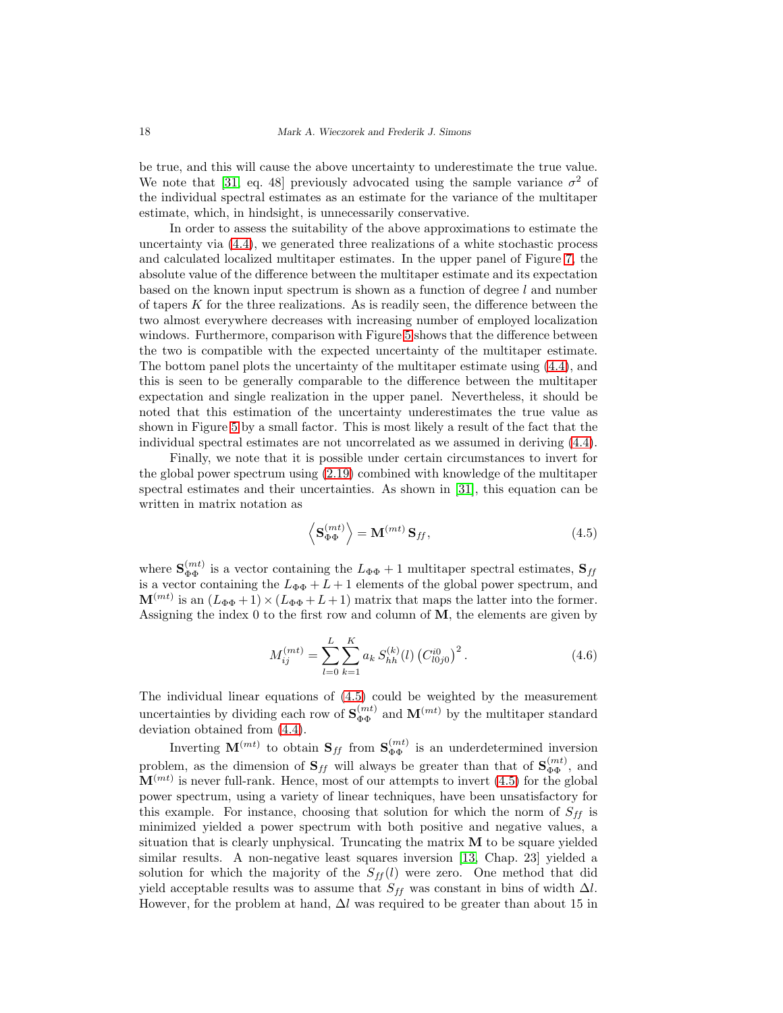be true, and this will cause the above uncertainty to underestimate the true value. We note that [\[31,](#page-28-3) eq. 48] previously advocated using the sample variance  $\sigma^2$  of the individual spectral estimates as an estimate for the variance of the multitaper estimate, which, in hindsight, is unnecessarily conservative.

In order to assess the suitability of the above approximations to estimate the uncertainty via [\(4.4\)](#page-16-2), we generated three realizations of a white stochastic process and calculated localized multitaper estimates. In the upper panel of Figure [7,](#page-18-0) the absolute value of the difference between the multitaper estimate and its expectation based on the known input spectrum is shown as a function of degree l and number of tapers  $K$  for the three realizations. As is readily seen, the difference between the two almost everywhere decreases with increasing number of employed localization windows. Furthermore, comparison with Figure [5](#page-13-0) shows that the difference between the two is compatible with the expected uncertainty of the multitaper estimate. The bottom panel plots the uncertainty of the multitaper estimate using [\(4.4\)](#page-16-2), and this is seen to be generally comparable to the difference between the multitaper expectation and single realization in the upper panel. Nevertheless, it should be noted that this estimation of the uncertainty underestimates the true value as shown in Figure [5](#page-13-0) by a small factor. This is most likely a result of the fact that the individual spectral estimates are not uncorrelated as we assumed in deriving [\(4.4\)](#page-16-2).

Finally, we note that it is possible under certain circumstances to invert for the global power spectrum using [\(2.19\)](#page-8-2) combined with knowledge of the multitaper spectral estimates and their uncertainties. As shown in [\[31\]](#page-28-3), this equation can be written in matrix notation as

<span id="page-17-0"></span>
$$
\left\langle \mathbf{S}_{\Phi\Phi}^{(mt)} \right\rangle = \mathbf{M}^{(mt)} \, \mathbf{S}_{ff},\tag{4.5}
$$

where  $\mathbf{S}_{\Phi\Phi}^{(mt)}$  is a vector containing the  $L_{\Phi\Phi}+1$  multitaper spectral estimates,  $\mathbf{S}_{ff}$ is a vector containing the  $L_{\Phi\Phi} + L + 1$  elements of the global power spectrum, and  $\mathbf{M}^{(mt)}$  is an  $(L_{\Phi\Phi}+1)\times(L_{\Phi\Phi}+L+1)$  matrix that maps the latter into the former. Assigning the index 0 to the first row and column of M, the elements are given by

$$
M_{ij}^{(mt)} = \sum_{l=0}^{L} \sum_{k=1}^{K} a_k S_{hh}^{(k)}(l) (C_{l0j0}^{i0})^2.
$$
 (4.6)

The individual linear equations of [\(4.5\)](#page-17-0) could be weighted by the measurement uncertainties by dividing each row of  $\mathbf{S}_{\Phi\Phi}^{(mt)}$  and  $\mathbf{M}^{(mt)}$  by the multitaper standard deviation obtained from [\(4.4\)](#page-16-2).

Inverting  $\mathbf{M}^{(mt)}$  to obtain  $\mathbf{S}_{ff}$  from  $\mathbf{S}_{\Phi\Phi}^{(mt)}$  is an underdetermined inversion problem, as the dimension of  $S_{ff}$  will always be greater than that of  $S_{\Phi\Phi}^{(mt)}$ , and  $\mathbf{M}^{(mt)}$  is never full-rank. Hence, most of our attempts to invert [\(4.5\)](#page-17-0) for the global power spectrum, using a variety of linear techniques, have been unsatisfactory for this example. For instance, choosing that solution for which the norm of  $S_{ff}$  is minimized yielded a power spectrum with both positive and negative values, a situation that is clearly unphysical. Truncating the matrix  $M$  to be square yielded similar results. A non-negative least squares inversion [\[13,](#page-27-13) Chap. 23] yielded a solution for which the majority of the  $S_{ff}(l)$  were zero. One method that did yield acceptable results was to assume that  $S_{ff}$  was constant in bins of width  $\Delta l$ . However, for the problem at hand,  $\Delta l$  was required to be greater than about 15 in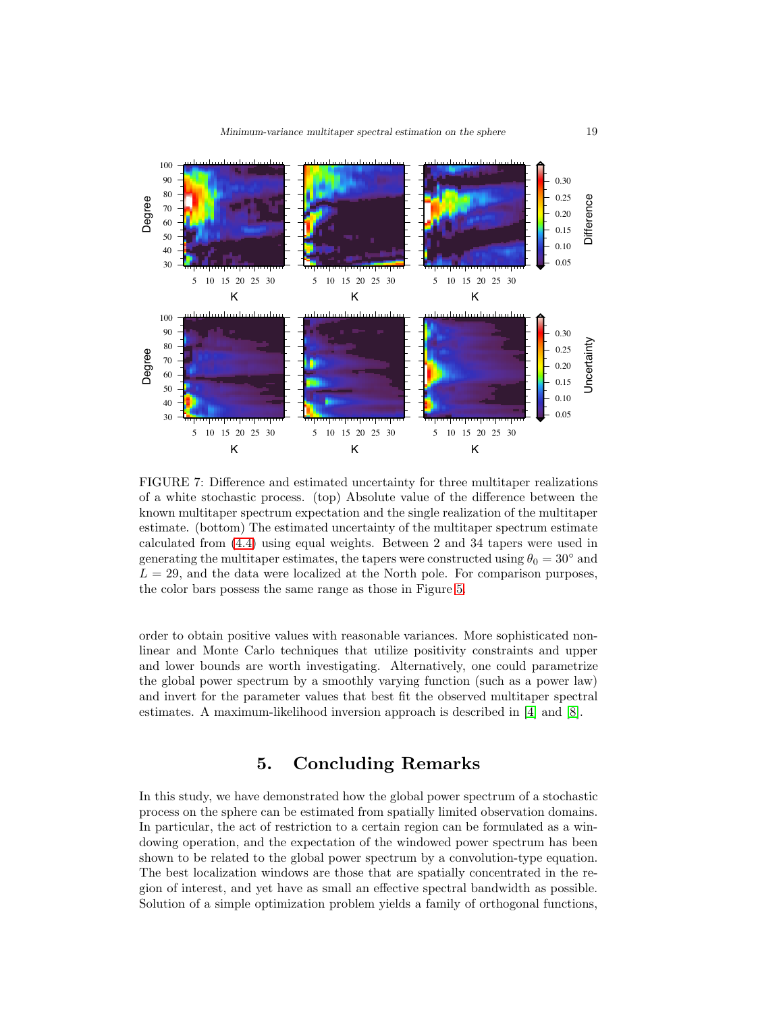

<span id="page-18-0"></span>FIGURE 7: Difference and estimated uncertainty for three multitaper realizations of a white stochastic process. (top) Absolute value of the difference between the known multitaper spectrum expectation and the single realization of the multitaper estimate. (bottom) The estimated uncertainty of the multitaper spectrum estimate calculated from [\(4.4\)](#page-16-2) using equal weights. Between 2 and 34 tapers were used in generating the multitaper estimates, the tapers were constructed using  $\theta_0 = 30^\circ$  and  $L = 29$ , and the data were localized at the North pole. For comparison purposes, the color bars possess the same range as those in Figure [5.](#page-13-0)

order to obtain positive values with reasonable variances. More sophisticated nonlinear and Monte Carlo techniques that utilize positivity constraints and upper and lower bounds are worth investigating. Alternatively, one could parametrize the global power spectrum by a smoothly varying function (such as a power law) and invert for the parameter values that best fit the observed multitaper spectral estimates. A maximum-likelihood inversion approach is described in [\[4\]](#page-27-7) and [\[8\]](#page-27-14).

## 5. Concluding Remarks

In this study, we have demonstrated how the global power spectrum of a stochastic process on the sphere can be estimated from spatially limited observation domains. In particular, the act of restriction to a certain region can be formulated as a windowing operation, and the expectation of the windowed power spectrum has been shown to be related to the global power spectrum by a convolution-type equation. The best localization windows are those that are spatially concentrated in the region of interest, and yet have as small an effective spectral bandwidth as possible. Solution of a simple optimization problem yields a family of orthogonal functions,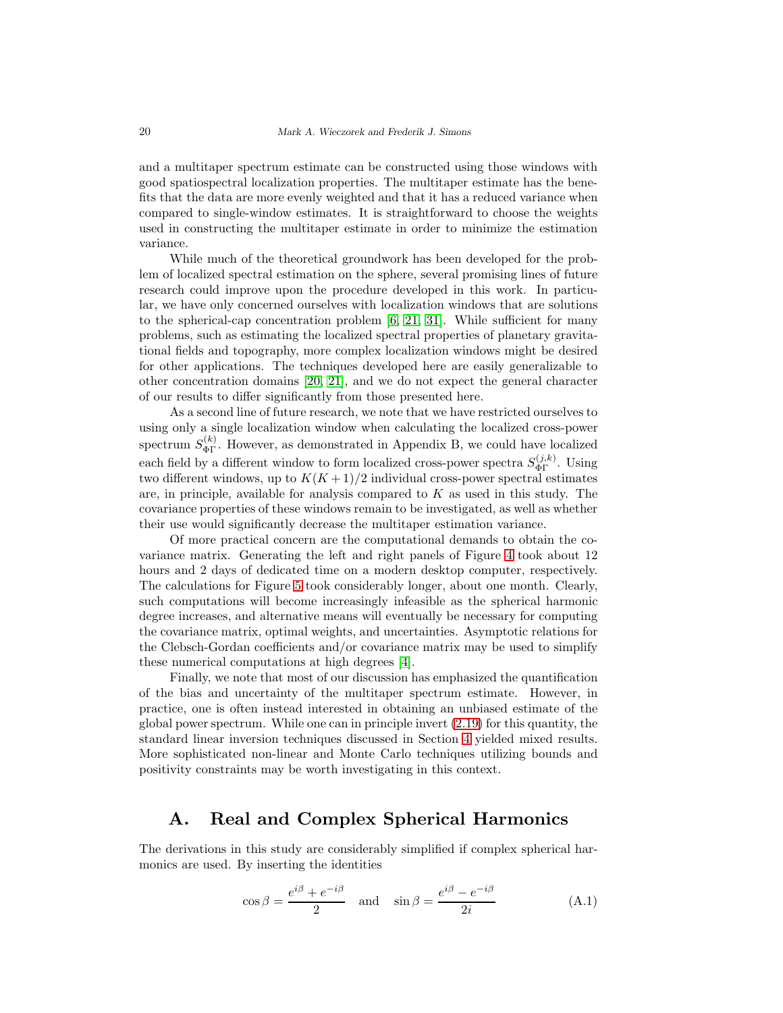and a multitaper spectrum estimate can be constructed using those windows with good spatiospectral localization properties. The multitaper estimate has the benefits that the data are more evenly weighted and that it has a reduced variance when compared to single-window estimates. It is straightforward to choose the weights used in constructing the multitaper estimate in order to minimize the estimation variance.

While much of the theoretical groundwork has been developed for the problem of localized spectral estimation on the sphere, several promising lines of future research could improve upon the procedure developed in this work. In particular, we have only concerned ourselves with localization windows that are solutions to the spherical-cap concentration problem  $[6, 21, 31]$  $[6, 21, 31]$  $[6, 21, 31]$ . While sufficient for many problems, such as estimating the localized spectral properties of planetary gravitational fields and topography, more complex localization windows might be desired for other applications. The techniques developed here are easily generalizable to other concentration domains [\[20,](#page-28-9) [21\]](#page-28-5), and we do not expect the general character of our results to differ significantly from those presented here.

As a second line of future research, we note that we have restricted ourselves to using only a single localization window when calculating the localized cross-power spectrum  $S_{\Phi\Gamma}^{(k)}$ . However, as demonstrated in Appendix B, we could have localized each field by a different window to form localized cross-power spectra  $S_{\Phi\Gamma}^{(j,k)}$ . Using two different windows, up to  $K(K+1)/2$  individual cross-power spectral estimates are, in principle, available for analysis compared to  $K$  as used in this study. The covariance properties of these windows remain to be investigated, as well as whether their use would significantly decrease the multitaper estimation variance.

Of more practical concern are the computational demands to obtain the covariance matrix. Generating the left and right panels of Figure [4](#page-12-0) took about 12 hours and 2 days of dedicated time on a modern desktop computer, respectively. The calculations for Figure [5](#page-13-0) took considerably longer, about one month. Clearly, such computations will become increasingly infeasible as the spherical harmonic degree increases, and alternative means will eventually be necessary for computing the covariance matrix, optimal weights, and uncertainties. Asymptotic relations for the Clebsch-Gordan coefficients and/or covariance matrix may be used to simplify these numerical computations at high degrees [\[4\]](#page-27-7).

Finally, we note that most of our discussion has emphasized the quantification of the bias and uncertainty of the multitaper spectrum estimate. However, in practice, one is often instead interested in obtaining an unbiased estimate of the global power spectrum. While one can in principle invert [\(2.19\)](#page-8-2) for this quantity, the standard linear inversion techniques discussed in Section [4](#page-15-0) yielded mixed results. More sophisticated non-linear and Monte Carlo techniques utilizing bounds and positivity constraints may be worth investigating in this context.

## A. Real and Complex Spherical Harmonics

The derivations in this study are considerably simplified if complex spherical harmonics are used. By inserting the identities

$$
\cos \beta = \frac{e^{i\beta} + e^{-i\beta}}{2} \quad \text{and} \quad \sin \beta = \frac{e^{i\beta} - e^{-i\beta}}{2i} \tag{A.1}
$$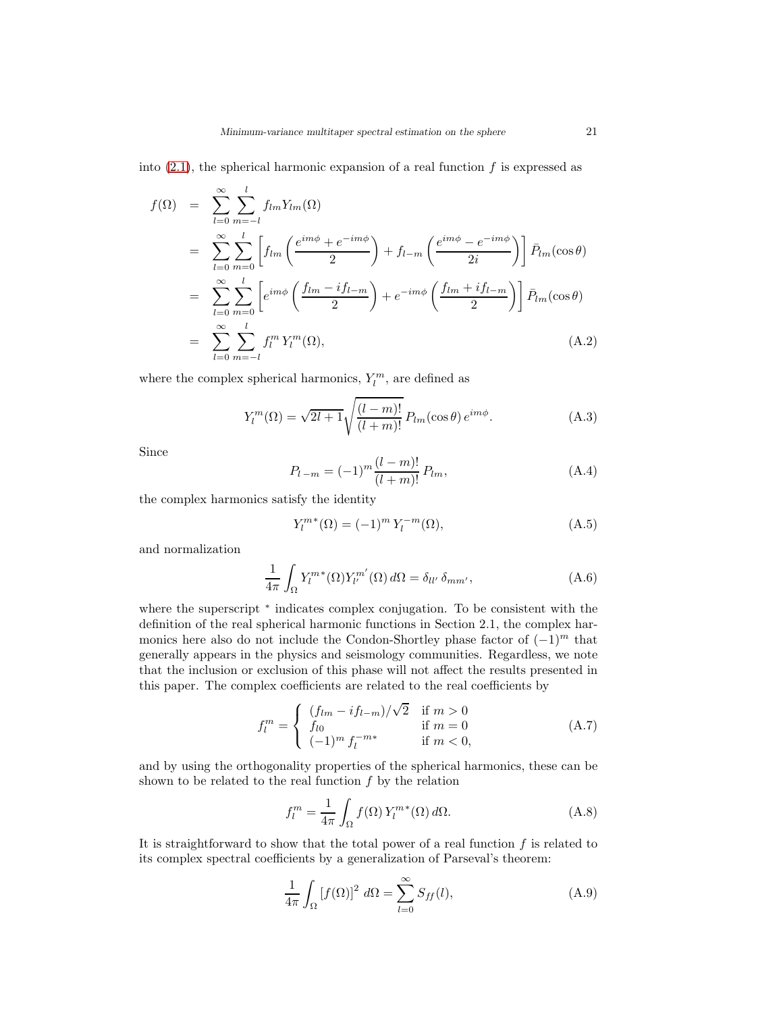into  $(2.1)$ , the spherical harmonic expansion of a real function f is expressed as

$$
f(\Omega) = \sum_{l=0}^{\infty} \sum_{m=-l}^{l} f_{lm} Y_{lm}(\Omega)
$$
  
\n
$$
= \sum_{l=0}^{\infty} \sum_{m=0}^{l} \left[ f_{lm} \left( \frac{e^{im\phi} + e^{-im\phi}}{2} \right) + f_{l-m} \left( \frac{e^{im\phi} - e^{-im\phi}}{2i} \right) \right] \bar{P}_{lm}(\cos \theta)
$$
  
\n
$$
= \sum_{l=0}^{\infty} \sum_{m=0}^{l} \left[ e^{im\phi} \left( \frac{f_{lm} - if_{l-m}}{2} \right) + e^{-im\phi} \left( \frac{f_{lm} + if_{l-m}}{2} \right) \right] \bar{P}_{lm}(\cos \theta)
$$
  
\n
$$
= \sum_{l=0}^{\infty} \sum_{m=-l}^{l} f_{l}^{m} Y_{l}^{m}(\Omega), \qquad (A.2)
$$

where the complex spherical harmonics,  $Y_l^m$ , are defined as

$$
Y_l^m(\Omega) = \sqrt{2l+1} \sqrt{\frac{(l-m)!}{(l+m)!}} P_{lm}(\cos \theta) e^{im\phi}.
$$
 (A.3)

Since

$$
P_{l-m} = (-1)^m \frac{(l-m)!}{(l+m)!} P_{lm}, \tag{A.4}
$$

the complex harmonics satisfy the identity

<span id="page-20-1"></span>
$$
Y_l^{m*}(\Omega) = (-1)^m Y_l^{-m}(\Omega), \tag{A.5}
$$

and normalization

$$
\frac{1}{4\pi} \int_{\Omega} Y_l^{m*}(\Omega) Y_{l'}^{m'}(\Omega) d\Omega = \delta_{ll'} \delta_{mm'},
$$
\n(A.6)

where the superscript  $*$  indicates complex conjugation. To be consistent with the definition of the real spherical harmonic functions in Section 2.1, the complex harmonics here also do not include the Condon-Shortley phase factor of  $(-1)^m$  that generally appears in the physics and seismology communities. Regardless, we note that the inclusion or exclusion of this phase will not affect the results presented in this paper. The complex coefficients are related to the real coefficients by

<span id="page-20-0"></span>
$$
f_l^m = \begin{cases} (f_{lm} - if_{l-m})/\sqrt{2} & \text{if } m > 0\\ f_{l0} & \text{if } m = 0\\ (-1)^m f_l^{-m*} & \text{if } m < 0, \end{cases}
$$
(A.7)

and by using the orthogonality properties of the spherical harmonics, these can be shown to be related to the real function  $f$  by the relation

$$
f_l^m = \frac{1}{4\pi} \int_{\Omega} f(\Omega) Y_l^{m*}(\Omega) d\Omega.
$$
 (A.8)

It is straightforward to show that the total power of a real function  $f$  is related to its complex spectral coefficients by a generalization of Parseval's theorem:

$$
\frac{1}{4\pi} \int_{\Omega} \left[ f(\Omega) \right]^2 \, d\Omega = \sum_{l=0}^{\infty} S_{ff}(l),\tag{A.9}
$$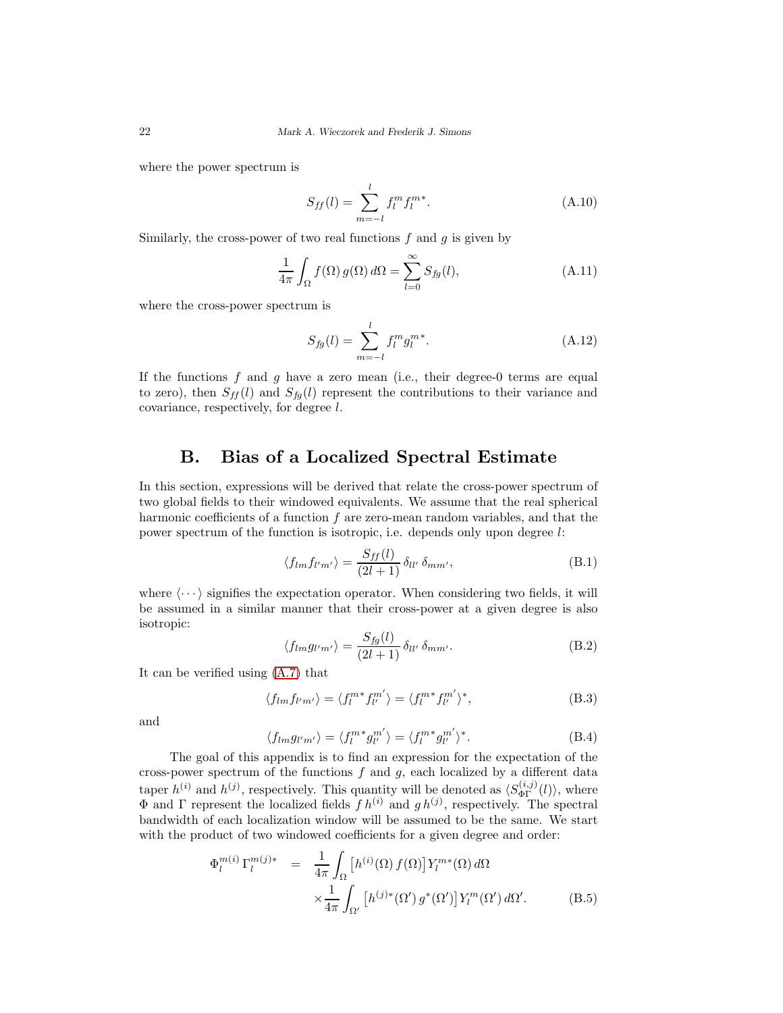where the power spectrum is

$$
S_{ff}(l) = \sum_{m=-l}^{l} f_l^m f_l^{m*}.
$$
\n(A.10)

Similarly, the cross-power of two real functions  $f$  and  $g$  is given by

<span id="page-21-0"></span>
$$
\frac{1}{4\pi} \int_{\Omega} f(\Omega) g(\Omega) d\Omega = \sum_{l=0}^{\infty} S_{fg}(l), \tag{A.11}
$$

where the cross-power spectrum is

<span id="page-21-1"></span>
$$
S_{fg}(l) = \sum_{m=-l}^{l} f_l^m g_l^{m*}.
$$
\n(A.12)

If the functions f and g have a zero mean (i.e., their degree-0 terms are equal to zero), then  $S_{ff}(l)$  and  $S_{fg}(l)$  represent the contributions to their variance and covariance, respectively, for degree l.

#### B. Bias of a Localized Spectral Estimate

In this section, expressions will be derived that relate the cross-power spectrum of two global fields to their windowed equivalents. We assume that the real spherical harmonic coefficients of a function  $f$  are zero-mean random variables, and that the power spectrum of the function is isotropic, i.e. depends only upon degree l:

$$
\langle f_{lm} f_{l'm'} \rangle = \frac{S_{ff}(l)}{(2l+1)} \delta_{ll'} \delta_{mm'}, \tag{B.1}
$$

where  $\langle \cdots \rangle$  signifies the expectation operator. When considering two fields, it will be assumed in a similar manner that their cross-power at a given degree is also isotropic:

$$
\langle f_{lm} g_{l'm'} \rangle = \frac{S_{fg}(l)}{(2l+1)} \, \delta_{ll'} \, \delta_{mm'}.\tag{B.2}
$$

It can be verified using [\(A.7\)](#page-20-0) that

$$
\langle f_{lm} f_{l'm'} \rangle = \langle f_l^{m*} f_{l'}^{m'} \rangle = \langle f_l^{m*} f_{l'}^{m'} \rangle^*,
$$
 (B.3)

and

$$
\langle f_{lm} g_{l'm'} \rangle = \langle f_l^{m*} g_{l'}^{m'} \rangle = \langle f_l^{m*} g_{l'}^{m'} \rangle^*.
$$
 (B.4)

The goal of this appendix is to find an expression for the expectation of the cross-power spectrum of the functions  $f$  and  $g$ , each localized by a different data taper  $h^{(i)}$  and  $h^{(j)}$ , respectively. This quantity will be denoted as  $\langle S_{\Phi \Gamma}^{(i,j)}(l) \rangle$ , where  $\Phi$  and  $\Gamma$  represent the localized fields  $f h^{(i)}$  and  $g h^{(j)}$ , respectively. The spectral bandwidth of each localization window will be assumed to be the same. We start with the product of two windowed coefficients for a given degree and order:

$$
\Phi_l^{m(i)} \Gamma_l^{m(j)*} = \frac{1}{4\pi} \int_{\Omega} \left[ h^{(i)}(\Omega) f(\Omega) \right] Y_l^{m*}(\Omega) d\Omega
$$

$$
\times \frac{1}{4\pi} \int_{\Omega'} \left[ h^{(j)*}(\Omega') g^*(\Omega') \right] Y_l^m(\Omega') d\Omega'. \tag{B.5}
$$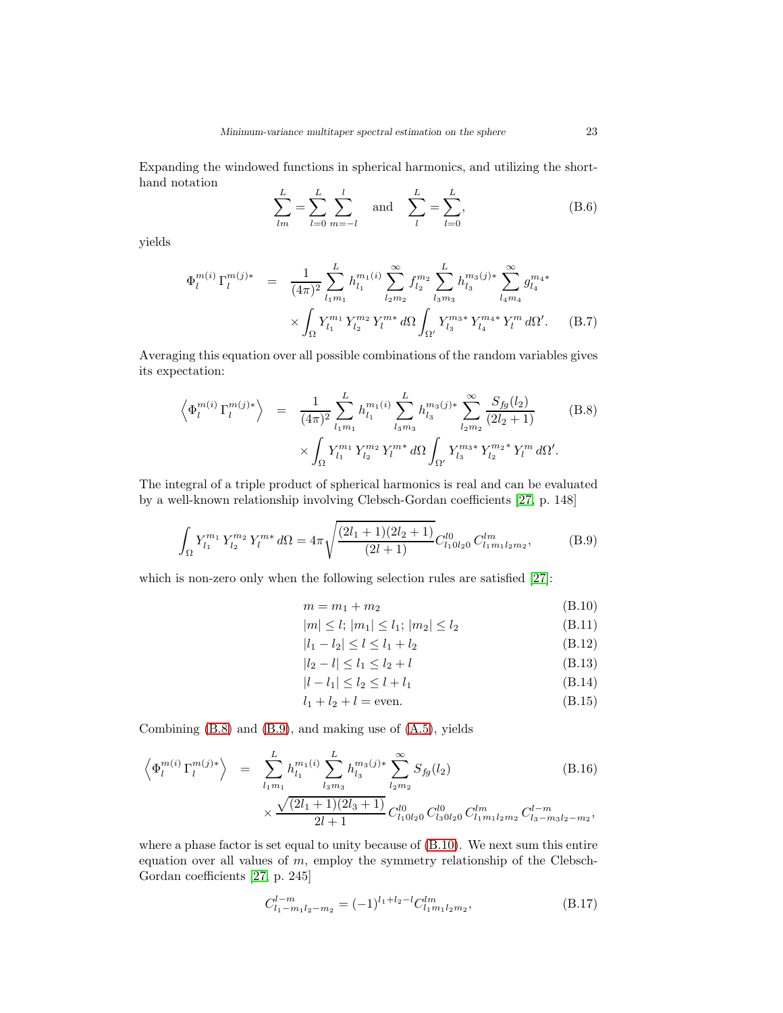Expanding the windowed functions in spherical harmonics, and utilizing the shorthand notation

$$
\sum_{lm}^{L} = \sum_{l=0}^{L} \sum_{m=-l}^{l} \quad \text{and} \quad \sum_{l}^{L} = \sum_{l=0}^{L}, \tag{B.6}
$$

yields

$$
\Phi_l^{m(i)} \Gamma_l^{m(j)*} = \frac{1}{(4\pi)^2} \sum_{l_1 m_1}^{L} h_{l_1}^{m_1(i)} \sum_{l_2 m_2}^{\infty} f_{l_2}^{m_2} \sum_{l_3 m_3}^{L} h_{l_3}^{m_3(j)*} \sum_{l_4 m_4}^{\infty} g_{l_4}^{m_4*}
$$

$$
\times \int_{\Omega} Y_{l_1}^{m_1} Y_{l_2}^{m_2} Y_l^{m*} d\Omega \int_{\Omega'} Y_{l_3}^{m_3*} Y_{l_4}^{m_4*} Y_l^{m} d\Omega'. \tag{B.7}
$$

Averaging this equation over all possible combinations of the random variables gives its expectation:

<span id="page-22-0"></span>
$$
\left\langle \Phi_l^{m(i)} \Gamma_l^{m(j)*} \right\rangle = \frac{1}{(4\pi)^2} \sum_{l_1 m_1}^{L} h_{l_1}^{m_1(i)} \sum_{l_3 m_3}^{L} h_{l_3}^{m_3(j)*} \sum_{l_2 m_2}^{\infty} \frac{S_{fg}(l_2)}{(2l_2 + 1)} \qquad (B.8)
$$

$$
\times \int_{\Omega} Y_{l_1}^{m_1} Y_{l_2}^{m_2} Y_l^{m*} d\Omega \int_{\Omega'} Y_{l_3}^{m_3*} Y_{l_2}^{m_2*} Y_l^{m} d\Omega'.
$$

The integral of a triple product of spherical harmonics is real and can be evaluated by a well-known relationship involving Clebsch-Gordan coefficients [\[27,](#page-28-6) p. 148]

<span id="page-22-1"></span>
$$
\int_{\Omega} Y_{l_1}^{m_1} Y_{l_2}^{m_2} Y_l^{m*} d\Omega = 4\pi \sqrt{\frac{(2l_1+1)(2l_2+1)}{(2l_1+1)}} C_{l_10l_20}^{l_0} C_{l_1m_1l_2m_2}^{l m},
$$
(B.9)

which is non-zero only when the following selection rules are satisfied [\[27\]](#page-28-6):

<span id="page-22-2"></span>
$$
m = m_1 + m_2 \tag{B.10}
$$

$$
|m| \le l; |m_1| \le l_1; |m_2| \le l_2 \tag{B.11}
$$

$$
|l_1 - l_2| \le l \le l_1 + l_2 \tag{B.12}
$$

$$
|l_2 - l| \le l_1 \le l_2 + l \tag{B.13}
$$

$$
|l - l_1| \le l_2 \le l + l_1 \tag{B.14}
$$

$$
l_1 + l_2 + l = \text{even.} \tag{B.15}
$$

Combining [\(B.8\)](#page-22-0) and [\(B.9\)](#page-22-1), and making use of [\(A.5\)](#page-20-1), yields

<span id="page-22-3"></span>
$$
\left\langle \Phi_l^{m(i)} \Gamma_l^{m(j)*} \right\rangle = \sum_{l_1 m_1}^{L} h_{l_1}^{m_1(i)} \sum_{l_3 m_3}^{L} h_{l_3}^{m_3(j)*} \sum_{l_2 m_2}^{\infty} S_{fg}(l_2) \tag{B.16}
$$
\n
$$
\times \frac{\sqrt{(2l_1 + 1)(2l_3 + 1)}}{2l + 1} C_{l_1 0 l_2 0}^{l_0} C_{l_3 0 l_2 0}^{l_0} C_{l_1 m_1 l_2 m_2}^{l m} C_{l_3 - m_3 l_2 - m_2}^{l - m},
$$

where a phase factor is set equal to unity because of [\(B.10\)](#page-22-2). We next sum this entire equation over all values of  $m$ , employ the symmetry relationship of the Clebsch-Gordan coefficients [\[27,](#page-28-6) p. 245]

$$
C_{l_1-m_1l_2-m_2}^{l-m} = (-1)^{l_1+l_2-l} C_{l_1m_1l_2m_2}^{lm},
$$
\n(B.17)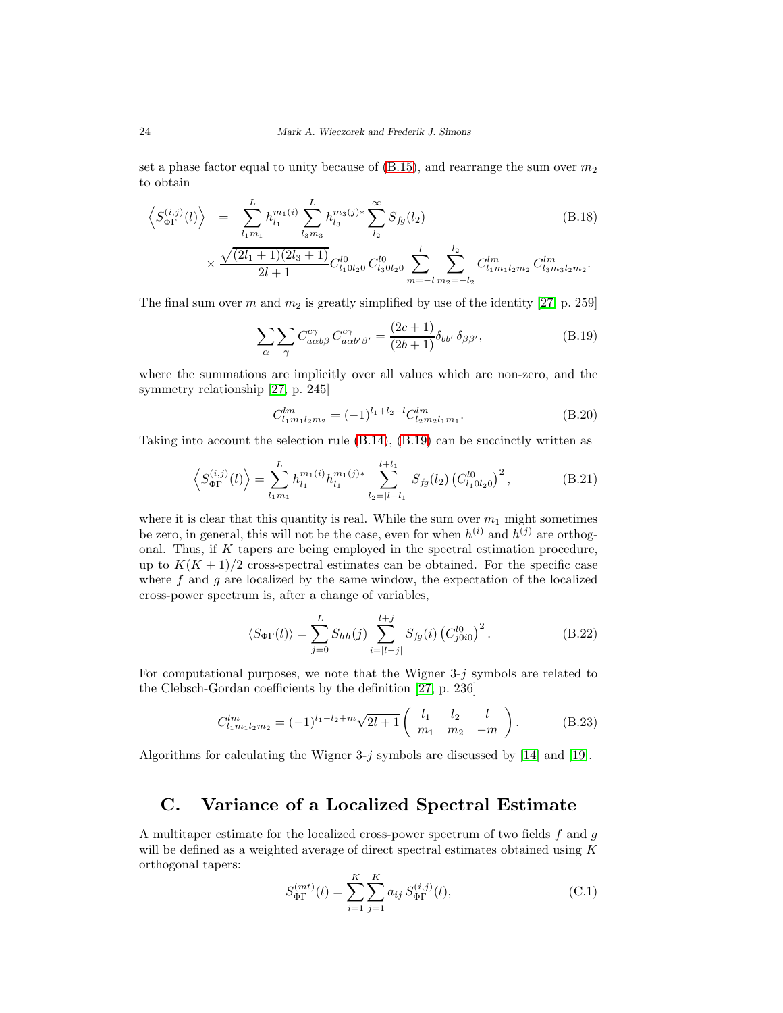set a phase factor equal to unity because of  $(B.15)$ , and rearrange the sum over  $m<sub>2</sub>$ to obtain

<span id="page-23-0"></span>
$$
\left\langle S_{\Phi\Gamma}^{(i,j)}(l) \right\rangle = \sum_{l_1 m_1}^{L} h_{l_1}^{m_1(i)} \sum_{l_3 m_3}^{L} h_{l_3}^{m_3(j)*} \sum_{l_2}^{\infty} S_{fg}(l_2) \tag{B.18}
$$

$$
\times \frac{\sqrt{(2l_1+1)(2l_3+1)}}{2l+1}C_{l_10l_20}^{l0}C_{l_30l_20}^{l0}\sum_{m=-l}^l\sum_{m_2=-l_2}^{l_2}C_{l_1m_1l_2m_2}^{lm}C_{l_3m_3l_2m_2}^{lm}.
$$

The final sum over m and  $m_2$  is greatly simplified by use of the identity [\[27,](#page-28-6) p. 259]

$$
\sum_{\alpha} \sum_{\gamma} C_{a\alpha b\beta}^{c\gamma} C_{a\alpha b'\beta'}^{c\gamma} = \frac{(2c+1)}{(2b+1)} \delta_{bb'} \delta_{\beta\beta'}, \tag{B.19}
$$

where the summations are implicitly over all values which are non-zero, and the symmetry relationship [\[27,](#page-28-6) p. 245]

$$
C_{l_1m_1l_2m_2}^{lm} = (-1)^{l_1+l_2-l} C_{l_2m_2l_1m_1}^{lm}.
$$
\n(B.20)

Taking into account the selection rule [\(B.14\)](#page-22-2), [\(B.19\)](#page-23-0) can be succinctly written as

$$
\left\langle S_{\Phi\Gamma}^{(i,j)}(l) \right\rangle = \sum_{l_1 m_1}^{L} h_{l_1}^{m_1(i)} h_{l_1}^{m_1(j)*} \sum_{l_2=|l-l_1|}^{l+l_1} S_{fg}(l_2) \left( C_{l_1 0 l_2 0}^{l_0} \right)^2, \tag{B.21}
$$

where it is clear that this quantity is real. While the sum over  $m_1$  might sometimes be zero, in general, this will not be the case, even for when  $h^{(i)}$  and  $h^{(j)}$  are orthogonal. Thus, if K tapers are being employed in the spectral estimation procedure, up to  $K(K+1)/2$  cross-spectral estimates can be obtained. For the specific case where f and q are localized by the same window, the expectation of the localized cross-power spectrum is, after a change of variables,

$$
\langle S_{\Phi\Gamma}(l)\rangle = \sum_{j=0}^{L} S_{hh}(j) \sum_{i=|l-j|}^{l+j} S_{fg}(i) (C_{j0i0}^{l0})^2.
$$
 (B.22)

For computational purposes, we note that the Wigner  $3-j$  symbols are related to the Clebsch-Gordan coefficients by the definition [\[27,](#page-28-6) p. 236]

$$
C_{l_1m_1l_2m_2}^{lm} = (-1)^{l_1-l_2+m} \sqrt{2l+1} \begin{pmatrix} l_1 & l_2 & l \\ m_1 & m_2 & -m \end{pmatrix}.
$$
 (B.23)

Algorithms for calculating the Wigner 3-j symbols are discussed by [\[14\]](#page-27-15) and [\[19\]](#page-28-13).

## C. Variance of a Localized Spectral Estimate

A multitaper estimate for the localized cross-power spectrum of two fields f and g will be defined as a weighted average of direct spectral estimates obtained using K orthogonal tapers:

$$
S_{\Phi\Gamma}^{(mt)}(l) = \sum_{i=1}^{K} \sum_{j=1}^{K} a_{ij} S_{\Phi\Gamma}^{(i,j)}(l),
$$
 (C.1)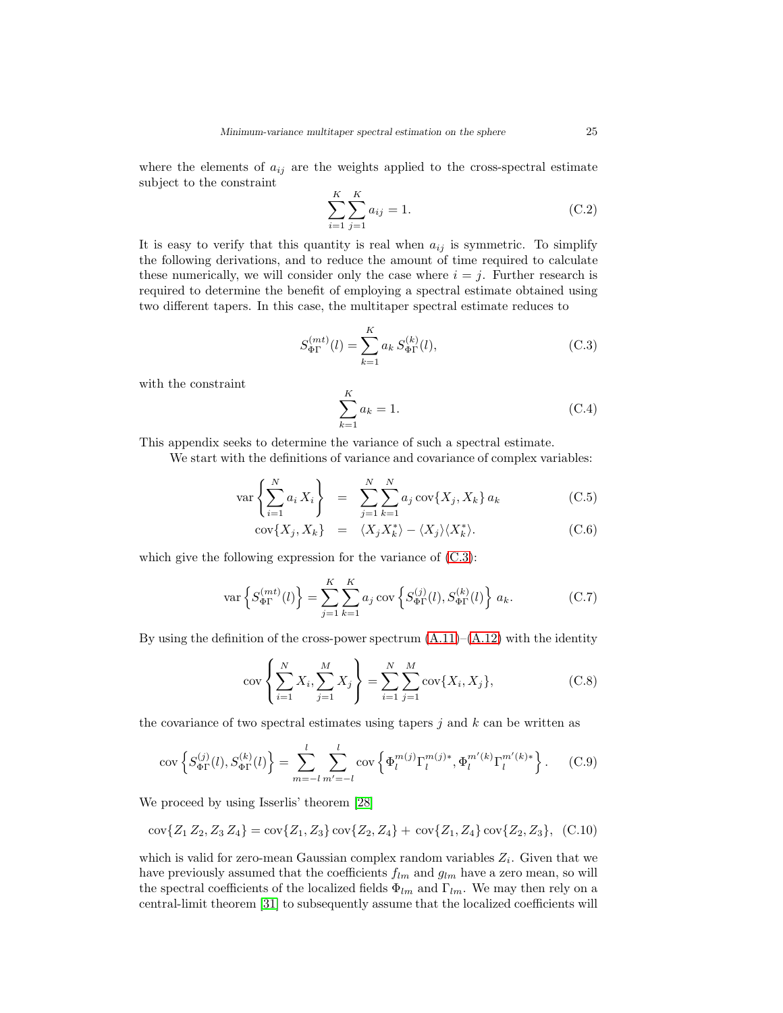where the elements of  $a_{ij}$  are the weights applied to the cross-spectral estimate subject to the constraint

$$
\sum_{i=1}^{K} \sum_{j=1}^{K} a_{ij} = 1.
$$
 (C.2)

It is easy to verify that this quantity is real when  $a_{ij}$  is symmetric. To simplify the following derivations, and to reduce the amount of time required to calculate these numerically, we will consider only the case where  $i = j$ . Further research is required to determine the benefit of employing a spectral estimate obtained using two different tapers. In this case, the multitaper spectral estimate reduces to

<span id="page-24-0"></span>
$$
S_{\Phi\Gamma}^{(mt)}(l) = \sum_{k=1}^{K} a_k S_{\Phi\Gamma}^{(k)}(l),
$$
 (C.3)

with the constraint

$$
\sum_{k=1}^{K} a_k = 1.
$$
\n(C.4)

This appendix seeks to determine the variance of such a spectral estimate.

We start with the definitions of variance and covariance of complex variables:

$$
\text{var}\left\{\sum_{i=1}^{N} a_i X_i\right\} = \sum_{j=1}^{N} \sum_{k=1}^{N} a_j \text{cov}\{X_j, X_k\} a_k \tag{C.5}
$$

$$
cov{X_j, X_k} = \langle X_j X_k^* \rangle - \langle X_j \rangle \langle X_k^* \rangle. \tag{C.6}
$$

which give the following expression for the variance of  $(C.3)$ :

$$
\text{var}\left\{S_{\Phi\Gamma}^{(mt)}(l)\right\} = \sum_{j=1}^{K} \sum_{k=1}^{K} a_j \text{ cov}\left\{S_{\Phi\Gamma}^{(j)}(l), S_{\Phi\Gamma}^{(k)}(l)\right\} a_k. \tag{C.7}
$$

By using the definition of the cross-power spectrum  $(A.11)$ – $(A.12)$  with the identity

$$
cov\left\{\sum_{i=1}^{N} X_i, \sum_{j=1}^{M} X_j\right\} = \sum_{i=1}^{N} \sum_{j=1}^{M} cov\{X_i, X_j\},
$$
\n(C.8)

the covariance of two spectral estimates using tapers  $j$  and  $k$  can be written as

<span id="page-24-1"></span>
$$
\text{cov}\left\{S_{\Phi\Gamma}^{(j)}(l), S_{\Phi\Gamma}^{(k)}(l)\right\} = \sum_{m=-l}^{l} \sum_{m'=-l}^{l} \text{cov}\left\{\Phi_l^{m(j)} \Gamma_l^{m(j)*}, \Phi_l^{m'(k)} \Gamma_l^{m'(k)*}\right\}.
$$
 (C.9)

We proceed by using Isserlis' theorem [\[28\]](#page-28-12)

$$
cov{Z_1 Z_2, Z_3 Z_4} = cov{Z_1, Z_3} cov{Z_2, Z_4} + cov{Z_1, Z_4} cov{Z_2, Z_3}, (C.10)
$$

which is valid for zero-mean Gaussian complex random variables  $Z_i$ . Given that we have previously assumed that the coefficients  $f_{lm}$  and  $g_{lm}$  have a zero mean, so will the spectral coefficients of the localized fields  $\Phi_{lm}$  and  $\Gamma_{lm}$ . We may then rely on a central-limit theorem [\[31\]](#page-28-3) to subsequently assume that the localized coefficients will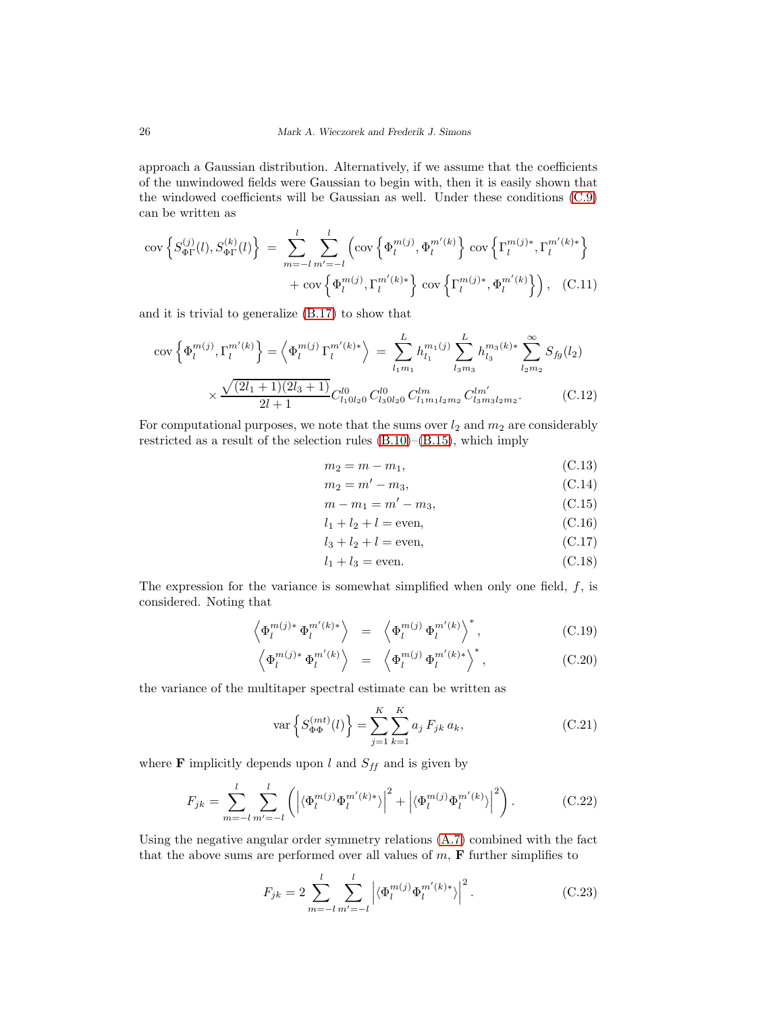approach a Gaussian distribution. Alternatively, if we assume that the coefficients of the unwindowed fields were Gaussian to begin with, then it is easily shown that the windowed coefficients will be Gaussian as well. Under these conditions [\(C.9\)](#page-24-1) can be written as

$$
\text{cov}\left\{S_{\Phi\Gamma}^{(j)}(l), S_{\Phi\Gamma}^{(k)}(l)\right\} = \sum_{m=-l}^{l} \sum_{m'=-l}^{l} \left(\text{cov}\left\{\Phi_l^{m(j)}, \Phi_l^{m'(k)}\right\} \text{cov}\left\{\Gamma_l^{m(j)*}, \Gamma_l^{m'(k)*}\right\} + \text{cov}\left\{\Phi_l^{m(j)}, \Gamma_l^{m'(k)*}\right\} \text{cov}\left\{\Gamma_l^{m(j)*}, \Phi_l^{m'(k)}\right\}\right), \quad (C.11)
$$

and it is trivial to generalize [\(B.17\)](#page-22-3) to show that

<span id="page-25-0"></span>
$$
\operatorname{cov}\left\{\Phi_{l}^{m(j)},\Gamma_{l}^{m'(k)}\right\} = \left\langle \Phi_{l}^{m(j)}\Gamma_{l}^{m'(k)*} \right\rangle = \sum_{l_{1}m_{1}}^{L} h_{l_{1}}^{m_{1}(j)} \sum_{l_{3}m_{3}}^{L} h_{l_{3}}^{m_{3}(k)*} \sum_{l_{2}m_{2}}^{\infty} S_{fg}(l_{2})
$$

$$
\times \frac{\sqrt{(2l_{1}+1)(2l_{3}+1)}}{2l+1} C_{l_{1}0l_{2}0}^{10} C_{l_{3}0l_{2}0}^{l0} C_{l_{1}m_{1}l_{2}m_{2}}^{l m'} C_{l_{3}m_{3}l_{2}m_{2}}^{l m'}.
$$
(C.12)

For computational purposes, we note that the sums over  $l_2$  and  $m_2$  are considerably restricted as a result of the selection rules [\(B.10\)](#page-22-2)–[\(B.15\)](#page-22-2), which imply

$$
m_2 = m - m_1,\t\t(C.13)
$$

$$
m_2 = m' - m_3,\t\t(C.14)
$$

$$
m - m_1 = m' - m_3,\tag{C.15}
$$

$$
m - m_1 = m - m_3,
$$
\n
$$
l_1 + l_2 + l = \text{even},
$$
\n(C.16)

$$
l_3 + l_2 + l = \text{even},\tag{C.17}
$$

$$
l_1 + l_3 = \text{even.} \tag{C.18}
$$

The expression for the variance is somewhat simplified when only one field,  $f$ , is considered. Noting that

$$
\left\langle \Phi_l^{m(j)*} \Phi_l^{m'(k)*} \right\rangle = \left\langle \Phi_l^{m(j)} \Phi_l^{m'(k)} \right\rangle^*, \tag{C.19}
$$

$$
\left\langle \Phi_l^{m(j)*} \Phi_l^{m'(k)} \right\rangle = \left\langle \Phi_l^{m(j)} \Phi_l^{m'(k)*} \right\rangle^*, \tag{C.20}
$$

the variance of the multitaper spectral estimate can be written as

$$
\text{var}\left\{S_{\Phi\Phi}^{(mt)}(l)\right\} = \sum_{j=1}^{K} \sum_{k=1}^{K} a_j F_{jk} a_k,\tag{C.21}
$$

where **F** implicitly depends upon l and  $S_{ff}$  and is given by

$$
F_{jk} = \sum_{m=-l}^{l} \sum_{m'=-l}^{l} \left( \left| \langle \Phi_l^{m(j)} \Phi_l^{m'(k)*} \rangle \right|^2 + \left| \langle \Phi_l^{m(j)} \Phi_l^{m'(k)} \rangle \right|^2 \right). \tag{C.22}
$$

Using the negative angular order symmetry relations [\(A.7\)](#page-20-0) combined with the fact that the above sums are performed over all values of  $m$ ,  $\bf{F}$  further simplifies to

<span id="page-25-1"></span>
$$
F_{jk} = 2 \sum_{m=-l}^{l} \sum_{m'=-l}^{l} \left| \langle \Phi_l^{m(j)} \Phi_l^{m'(k)*} \rangle \right|^2.
$$
 (C.23)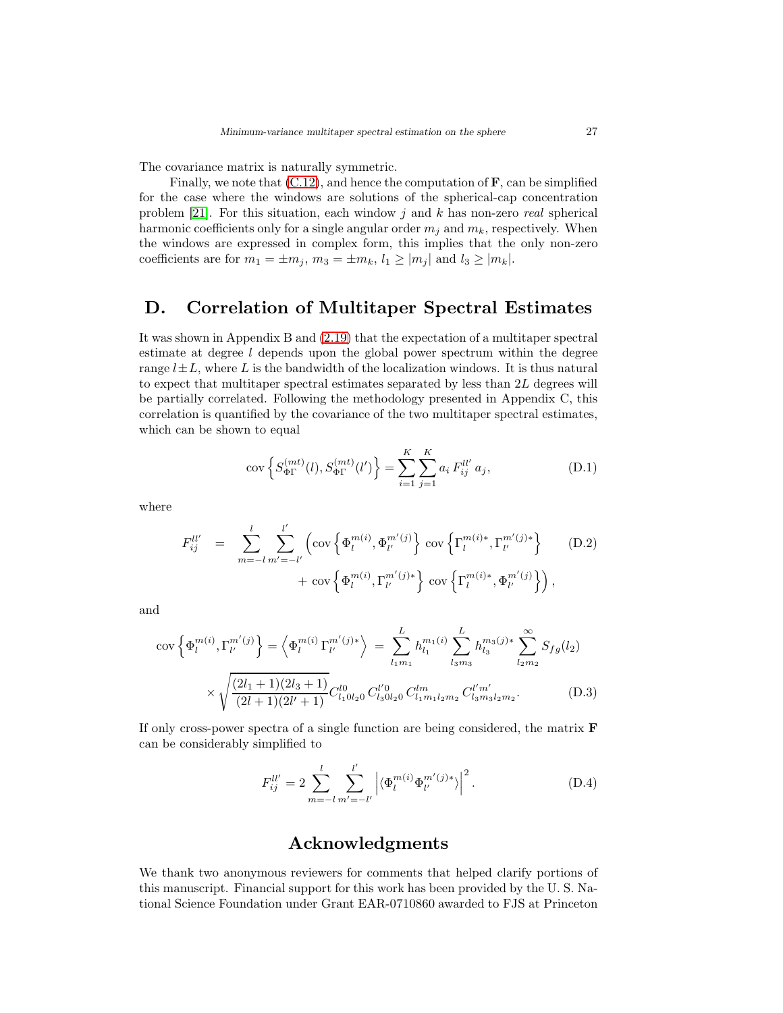The covariance matrix is naturally symmetric.

Finally, we note that  $(C.12)$ , and hence the computation of  $\mathbf{F}$ , can be simplified for the case where the windows are solutions of the spherical-cap concentration problem [\[21\]](#page-28-5). For this situation, each window j and k has non-zero real spherical harmonic coefficients only for a single angular order  $m_i$  and  $m_k$ , respectively. When the windows are expressed in complex form, this implies that the only non-zero coefficients are for  $m_1 = \pm m_j$ ,  $m_3 = \pm m_k$ ,  $l_1 \ge |m_j|$  and  $l_3 \ge |m_k|$ .

## D. Correlation of Multitaper Spectral Estimates

It was shown in Appendix B and [\(2.19\)](#page-8-2) that the expectation of a multitaper spectral estimate at degree l depends upon the global power spectrum within the degree range  $l\pm L$ , where L is the bandwidth of the localization windows. It is thus natural to expect that multitaper spectral estimates separated by less than 2L degrees will be partially correlated. Following the methodology presented in Appendix C, this correlation is quantified by the covariance of the two multitaper spectral estimates, which can be shown to equal

$$
cov\left\{S_{\Phi\Gamma}^{(mt)}(l), S_{\Phi\Gamma}^{(mt)}(l')\right\} = \sum_{i=1}^{K} \sum_{j=1}^{K} a_i F_{ij}^{ll'} a_j,
$$
\n(D.1)

where

$$
F_{ij}^{ll'} = \sum_{m=-l}^{l} \sum_{m'=-l'}^{l'} \left( \text{cov}\left\{ \Phi_l^{m(i)}, \Phi_{l'}^{m'(j)} \right\} \text{cov}\left\{ \Gamma_l^{m(i)*}, \Gamma_{l'}^{m'(j)*} \right\} + \text{cov}\left\{ \Phi_l^{m(i)}, \Gamma_{l'}^{m'(j)*} \right\} \text{cov}\left\{ \Gamma_l^{m(i)*}, \Phi_{l'}^{m'(j)} \right\} \right),
$$
(D.2)

and

$$
\operatorname{cov}\left\{\Phi_{l}^{m(i)},\Gamma_{l'}^{m'(j)}\right\} = \left\langle \Phi_{l}^{m(i)}\Gamma_{l'}^{m'(j)*} \right\rangle = \sum_{l_{1}m_{1}}^{L} h_{l_{1}}^{m_{1}(i)} \sum_{l_{3}m_{3}}^{L} h_{l_{3}}^{m_{3}(j)*} \sum_{l_{2}m_{2}}^{\infty} S_{fg}(l_{2})
$$

$$
\times \sqrt{\frac{(2l_{1}+1)(2l_{3}+1)}{(2l+1)(2l'+1)}} C_{l_{1}0l_{2}0}^{l_{0}} C_{l_{3}0l_{2}0}^{l'm} C_{l_{1}m_{1}l_{2}m_{2}}^{l'm'} C_{l_{3}m_{3}l_{2}m_{2}}^{l'm'}.
$$
(D.3)

If only cross-power spectra of a single function are being considered, the matrix F can be considerably simplified to

$$
F_{ij}^{ll'} = 2 \sum_{m=-l}^{l} \sum_{m'=-l'}^{l'} \left| \langle \Phi_l^{m(i)} \Phi_{l'}^{m'(j)*} \rangle \right|^2.
$$
 (D.4)

## Acknowledgments

We thank two anonymous reviewers for comments that helped clarify portions of this manuscript. Financial support for this work has been provided by the U. S. National Science Foundation under Grant EAR-0710860 awarded to FJS at Princeton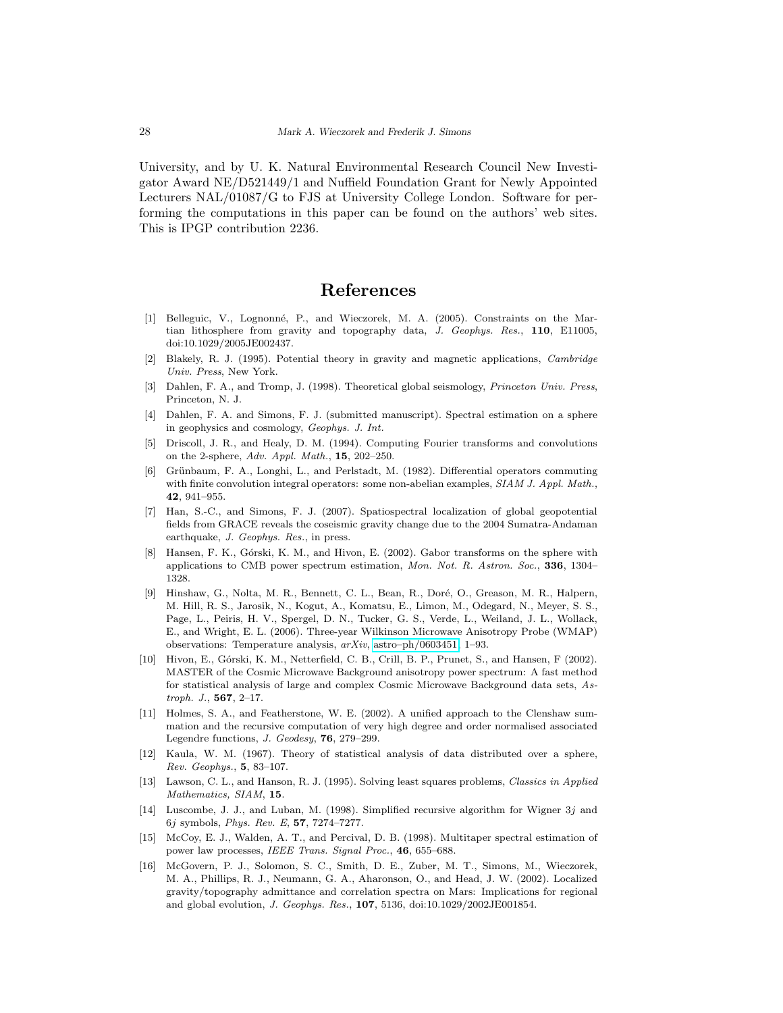University, and by U. K. Natural Environmental Research Council New Investigator Award NE/D521449/1 and Nuffield Foundation Grant for Newly Appointed Lecturers NAL/01087/G to FJS at University College London. Software for performing the computations in this paper can be found on the authors' web sites. This is IPGP contribution 2236.

# References

- <span id="page-27-9"></span>[1] Belleguic, V., Lognonné, P., and Wieczorek, M. A. (2005). Constraints on the Martian lithosphere from gravity and topography data, J. Geophys. Res., 110, E11005, doi:10.1029/2005JE002437.
- <span id="page-27-3"></span>[2] Blakely, R. J. (1995). Potential theory in gravity and magnetic applications, Cambridge Univ. Press, New York.
- <span id="page-27-2"></span>Dahlen, F. A., and Tromp, J. (1998). Theoretical global seismology, Princeton Univ. Press, Princeton, N. J.
- <span id="page-27-7"></span>[4] Dahlen, F. A. and Simons, F. J. (submitted manuscript). Spectral estimation on a sphere in geophysics and cosmology, Geophys. J. Int.
- <span id="page-27-5"></span>[5] Driscoll, J. R., and Healy, D. M. (1994). Computing Fourier transforms and convolutions on the 2-sphere, Adv. Appl. Math., 15, 202–250.
- <span id="page-27-8"></span>[6] Grünbaum, F. A., Longhi, L., and Perlstadt, M. (1982). Differential operators commuting with finite convolution integral operators: some non-abelian examples, SIAM J. Appl. Math., 42, 941–955.
- <span id="page-27-10"></span>[7] Han, S.-C., and Simons, F. J. (2007). Spatiospectral localization of global geopotential fields from GRACE reveals the coseismic gravity change due to the 2004 Sumatra-Andaman earthquake, J. Geophys. Res., in press.
- <span id="page-27-14"></span>Hansen, F. K., Górski, K. M., and Hivon, E. (2002). Gabor transforms on the sphere with applications to CMB power spectrum estimation, Mon. Not. R. Astron. Soc., 336, 1304– 1328.
- <span id="page-27-0"></span>Hinshaw, G., Nolta, M. R., Bennett, C. L., Bean, R., Doré, O., Greason, M. R., Halpern, M. Hill, R. S., Jarosik, N., Kogut, A., Komatsu, E., Limon, M., Odegard, N., Meyer, S. S., Page, L., Peiris, H. V., Spergel, D. N., Tucker, G. S., Verde, L., Weiland, J. L., Wollack, E., and Wright, E. L. (2006). Three-year Wilkinson Microwave Anisotropy Probe (WMAP) observations: Temperature analysis, arXiv, [astro–ph/0603451,](http://arxiv.org/abs/astro--ph/0603451) 1–93.
- <span id="page-27-1"></span>[10] Hivon, E., Górski, K. M., Netterfield, C. B., Crill, B. P., Prunet, S., and Hansen, F (2002). MASTER of the Cosmic Microwave Background anisotropy power spectrum: A fast method for statistical analysis of large and complex Cosmic Microwave Background data sets, Astroph. J., 567, 2–17.
- <span id="page-27-6"></span>[11] Holmes, S. A., and Featherstone, W. E. (2002). A unified approach to the Clenshaw summation and the recursive computation of very high degree and order normalised associated Legendre functions, J. Geodesy, 76, 279–299.
- <span id="page-27-4"></span>[12] Kaula, W. M. (1967). Theory of statistical analysis of data distributed over a sphere, Rev. Geophys., 5, 83–107.
- <span id="page-27-13"></span>[13] Lawson, C. L., and Hanson, R. J. (1995). Solving least squares problems, Classics in Applied Mathematics, SIAM, 15.
- <span id="page-27-15"></span>[14] Luscombe, J. J., and Luban, M. (1998). Simplified recursive algorithm for Wigner 3j and 6j symbols, Phys. Rev. E, 57, 7274–7277.
- <span id="page-27-12"></span>[15] McCoy, E. J., Walden, A. T., and Percival, D. B. (1998). Multitaper spectral estimation of power law processes, IEEE Trans. Signal Proc., 46, 655–688.
- <span id="page-27-11"></span>[16] McGovern, P. J., Solomon, S. C., Smith, D. E., Zuber, M. T., Simons, M., Wieczorek, M. A., Phillips, R. J., Neumann, G. A., Aharonson, O., and Head, J. W. (2002). Localized gravity/topography admittance and correlation spectra on Mars: Implications for regional and global evolution, J. Geophys. Res., 107, 5136, doi:10.1029/2002JE001854.